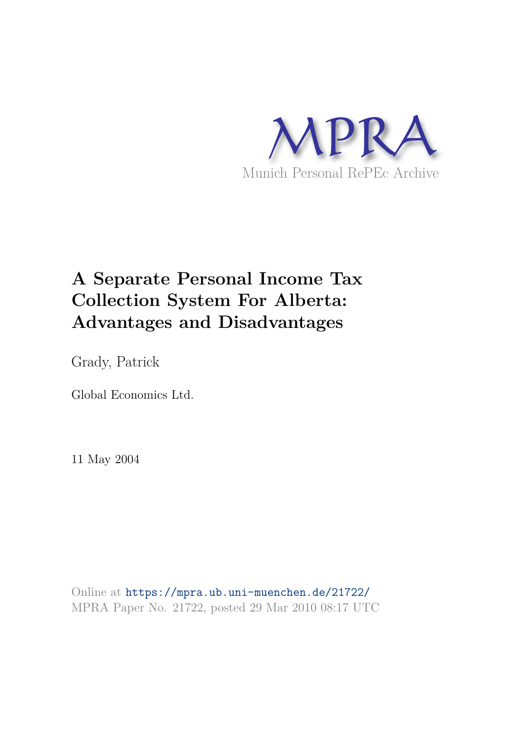

# **A Separate Personal Income Tax Collection System For Alberta: Advantages and Disadvantages**

Grady, Patrick

Global Economics Ltd.

11 May 2004

Online at https://mpra.ub.uni-muenchen.de/21722/ MPRA Paper No. 21722, posted 29 Mar 2010 08:17 UTC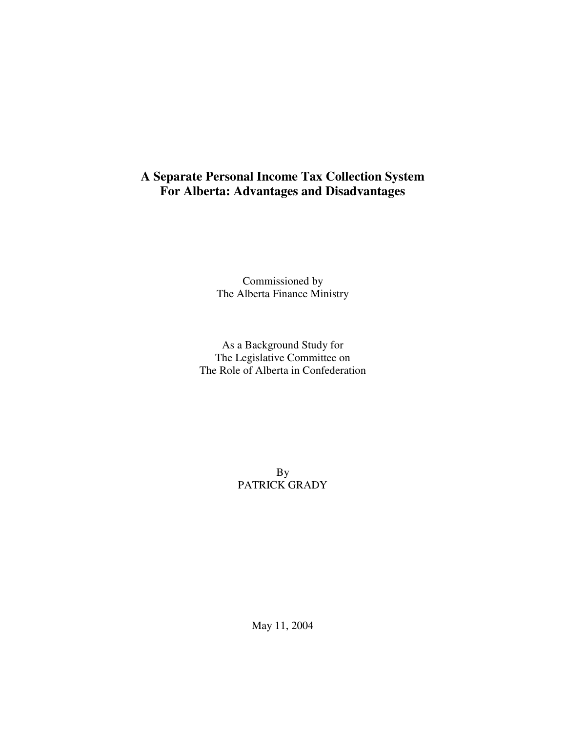## **A Separate Personal Income Tax Collection System For Alberta: Advantages and Disadvantages**

Commissioned by The Alberta Finance Ministry

As a Background Study for The Legislative Committee on The Role of Alberta in Confederation

> By PATRICK GRADY

> > May 11, 2004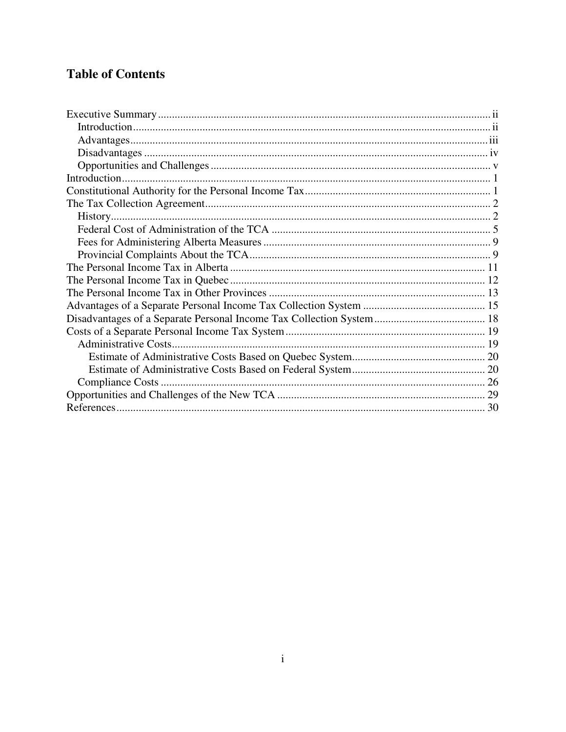## **Table of Contents**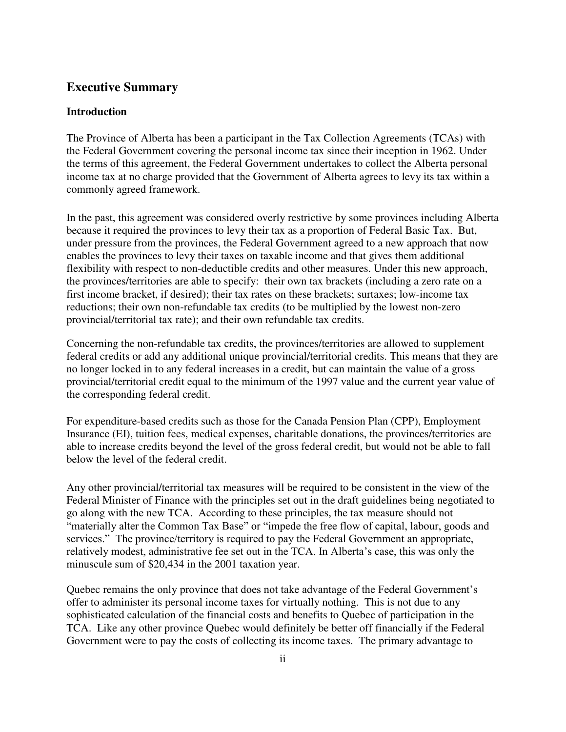### **Executive Summary**

#### **Introduction**

The Province of Alberta has been a participant in the Tax Collection Agreements (TCAs) with the Federal Government covering the personal income tax since their inception in 1962. Under the terms of this agreement, the Federal Government undertakes to collect the Alberta personal income tax at no charge provided that the Government of Alberta agrees to levy its tax within a commonly agreed framework.

In the past, this agreement was considered overly restrictive by some provinces including Alberta because it required the provinces to levy their tax as a proportion of Federal Basic Tax. But, under pressure from the provinces, the Federal Government agreed to a new approach that now enables the provinces to levy their taxes on taxable income and that gives them additional flexibility with respect to non-deductible credits and other measures. Under this new approach, the provinces/territories are able to specify: their own tax brackets (including a zero rate on a first income bracket, if desired); their tax rates on these brackets; surtaxes; low-income tax reductions; their own non-refundable tax credits (to be multiplied by the lowest non-zero provincial/territorial tax rate); and their own refundable tax credits.

Concerning the non-refundable tax credits, the provinces/territories are allowed to supplement federal credits or add any additional unique provincial/territorial credits. This means that they are no longer locked in to any federal increases in a credit, but can maintain the value of a gross provincial/territorial credit equal to the minimum of the 1997 value and the current year value of the corresponding federal credit.

For expenditure-based credits such as those for the Canada Pension Plan (CPP), Employment Insurance (EI), tuition fees, medical expenses, charitable donations, the provinces/territories are able to increase credits beyond the level of the gross federal credit, but would not be able to fall below the level of the federal credit.

Any other provincial/territorial tax measures will be required to be consistent in the view of the Federal Minister of Finance with the principles set out in the draft guidelines being negotiated to go along with the new TCA. According to these principles, the tax measure should not "materially alter the Common Tax Base" or "impede the free flow of capital, labour, goods and services." The province/territory is required to pay the Federal Government an appropriate, relatively modest, administrative fee set out in the TCA. In Alberta's case, this was only the minuscule sum of \$20,434 in the 2001 taxation year.

Quebec remains the only province that does not take advantage of the Federal Government's offer to administer its personal income taxes for virtually nothing. This is not due to any sophisticated calculation of the financial costs and benefits to Quebec of participation in the TCA. Like any other province Quebec would definitely be better off financially if the Federal Government were to pay the costs of collecting its income taxes. The primary advantage to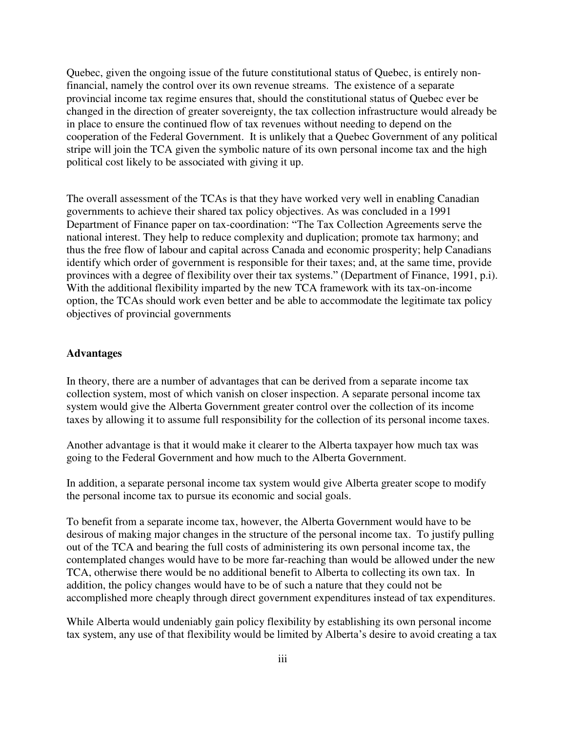Quebec, given the ongoing issue of the future constitutional status of Quebec, is entirely nonfinancial, namely the control over its own revenue streams. The existence of a separate provincial income tax regime ensures that, should the constitutional status of Quebec ever be changed in the direction of greater sovereignty, the tax collection infrastructure would already be in place to ensure the continued flow of tax revenues without needing to depend on the cooperation of the Federal Government. It is unlikely that a Quebec Government of any political stripe will join the TCA given the symbolic nature of its own personal income tax and the high political cost likely to be associated with giving it up.

The overall assessment of the TCAs is that they have worked very well in enabling Canadian governments to achieve their shared tax policy objectives. As was concluded in a 1991 Department of Finance paper on tax-coordination: "The Tax Collection Agreements serve the national interest. They help to reduce complexity and duplication; promote tax harmony; and thus the free flow of labour and capital across Canada and economic prosperity; help Canadians identify which order of government is responsible for their taxes; and, at the same time, provide provinces with a degree of flexibility over their tax systems." (Department of Finance, 1991, p.i). With the additional flexibility imparted by the new TCA framework with its tax-on-income option, the TCAs should work even better and be able to accommodate the legitimate tax policy objectives of provincial governments

#### **Advantages**

In theory, there are a number of advantages that can be derived from a separate income tax collection system, most of which vanish on closer inspection. A separate personal income tax system would give the Alberta Government greater control over the collection of its income taxes by allowing it to assume full responsibility for the collection of its personal income taxes.

Another advantage is that it would make it clearer to the Alberta taxpayer how much tax was going to the Federal Government and how much to the Alberta Government.

In addition, a separate personal income tax system would give Alberta greater scope to modify the personal income tax to pursue its economic and social goals.

To benefit from a separate income tax, however, the Alberta Government would have to be desirous of making major changes in the structure of the personal income tax. To justify pulling out of the TCA and bearing the full costs of administering its own personal income tax, the contemplated changes would have to be more far-reaching than would be allowed under the new TCA, otherwise there would be no additional benefit to Alberta to collecting its own tax. In addition, the policy changes would have to be of such a nature that they could not be accomplished more cheaply through direct government expenditures instead of tax expenditures.

While Alberta would undeniably gain policy flexibility by establishing its own personal income tax system, any use of that flexibility would be limited by Alberta's desire to avoid creating a tax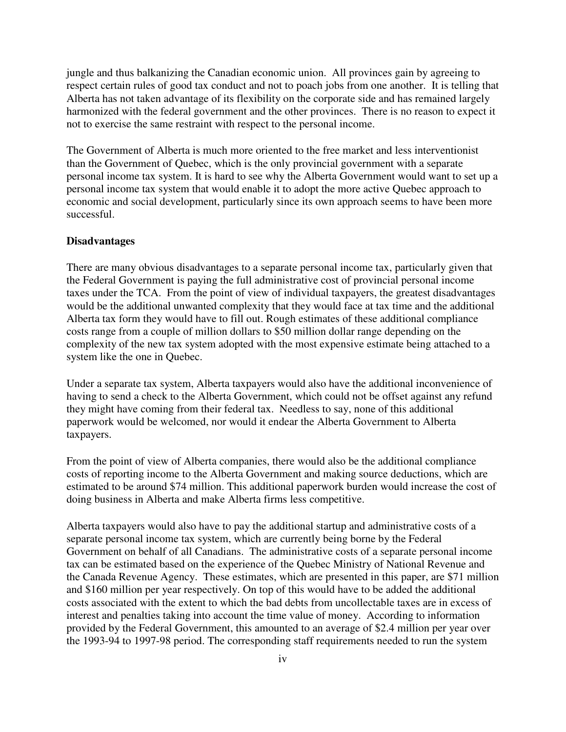jungle and thus balkanizing the Canadian economic union. All provinces gain by agreeing to respect certain rules of good tax conduct and not to poach jobs from one another. It is telling that Alberta has not taken advantage of its flexibility on the corporate side and has remained largely harmonized with the federal government and the other provinces. There is no reason to expect it not to exercise the same restraint with respect to the personal income.

The Government of Alberta is much more oriented to the free market and less interventionist than the Government of Quebec, which is the only provincial government with a separate personal income tax system. It is hard to see why the Alberta Government would want to set up a personal income tax system that would enable it to adopt the more active Quebec approach to economic and social development, particularly since its own approach seems to have been more successful.

#### **Disadvantages**

There are many obvious disadvantages to a separate personal income tax, particularly given that the Federal Government is paying the full administrative cost of provincial personal income taxes under the TCA. From the point of view of individual taxpayers, the greatest disadvantages would be the additional unwanted complexity that they would face at tax time and the additional Alberta tax form they would have to fill out. Rough estimates of these additional compliance costs range from a couple of million dollars to \$50 million dollar range depending on the complexity of the new tax system adopted with the most expensive estimate being attached to a system like the one in Quebec.

Under a separate tax system, Alberta taxpayers would also have the additional inconvenience of having to send a check to the Alberta Government, which could not be offset against any refund they might have coming from their federal tax. Needless to say, none of this additional paperwork would be welcomed, nor would it endear the Alberta Government to Alberta taxpayers.

From the point of view of Alberta companies, there would also be the additional compliance costs of reporting income to the Alberta Government and making source deductions, which are estimated to be around \$74 million. This additional paperwork burden would increase the cost of doing business in Alberta and make Alberta firms less competitive.

Alberta taxpayers would also have to pay the additional startup and administrative costs of a separate personal income tax system, which are currently being borne by the Federal Government on behalf of all Canadians. The administrative costs of a separate personal income tax can be estimated based on the experience of the Quebec Ministry of National Revenue and the Canada Revenue Agency. These estimates, which are presented in this paper, are \$71 million and \$160 million per year respectively. On top of this would have to be added the additional costs associated with the extent to which the bad debts from uncollectable taxes are in excess of interest and penalties taking into account the time value of money. According to information provided by the Federal Government, this amounted to an average of \$2.4 million per year over the 1993-94 to 1997-98 period. The corresponding staff requirements needed to run the system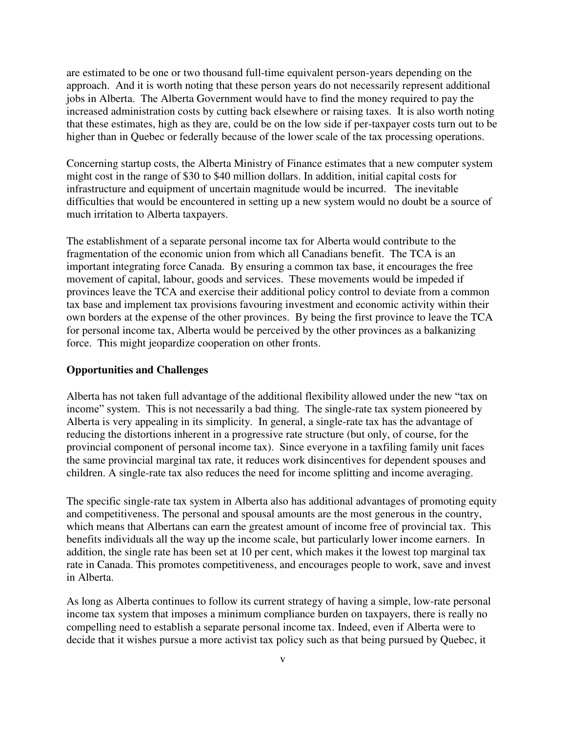are estimated to be one or two thousand full-time equivalent person-years depending on the approach. And it is worth noting that these person years do not necessarily represent additional jobs in Alberta. The Alberta Government would have to find the money required to pay the increased administration costs by cutting back elsewhere or raising taxes. It is also worth noting that these estimates, high as they are, could be on the low side if per-taxpayer costs turn out to be higher than in Quebec or federally because of the lower scale of the tax processing operations.

Concerning startup costs, the Alberta Ministry of Finance estimates that a new computer system might cost in the range of \$30 to \$40 million dollars. In addition, initial capital costs for infrastructure and equipment of uncertain magnitude would be incurred. The inevitable difficulties that would be encountered in setting up a new system would no doubt be a source of much irritation to Alberta taxpayers.

The establishment of a separate personal income tax for Alberta would contribute to the fragmentation of the economic union from which all Canadians benefit. The TCA is an important integrating force Canada. By ensuring a common tax base, it encourages the free movement of capital, labour, goods and services. These movements would be impeded if provinces leave the TCA and exercise their additional policy control to deviate from a common tax base and implement tax provisions favouring investment and economic activity within their own borders at the expense of the other provinces. By being the first province to leave the TCA for personal income tax, Alberta would be perceived by the other provinces as a balkanizing force. This might jeopardize cooperation on other fronts.

#### **Opportunities and Challenges**

Alberta has not taken full advantage of the additional flexibility allowed under the new "tax on income" system. This is not necessarily a bad thing. The single-rate tax system pioneered by Alberta is very appealing in its simplicity. In general, a single-rate tax has the advantage of reducing the distortions inherent in a progressive rate structure (but only, of course, for the provincial component of personal income tax). Since everyone in a taxfiling family unit faces the same provincial marginal tax rate, it reduces work disincentives for dependent spouses and children. A single-rate tax also reduces the need for income splitting and income averaging.

The specific single-rate tax system in Alberta also has additional advantages of promoting equity and competitiveness. The personal and spousal amounts are the most generous in the country, which means that Albertans can earn the greatest amount of income free of provincial tax. This benefits individuals all the way up the income scale, but particularly lower income earners. In addition, the single rate has been set at 10 per cent, which makes it the lowest top marginal tax rate in Canada. This promotes competitiveness, and encourages people to work, save and invest in Alberta.

As long as Alberta continues to follow its current strategy of having a simple, low-rate personal income tax system that imposes a minimum compliance burden on taxpayers, there is really no compelling need to establish a separate personal income tax. Indeed, even if Alberta were to decide that it wishes pursue a more activist tax policy such as that being pursued by Quebec, it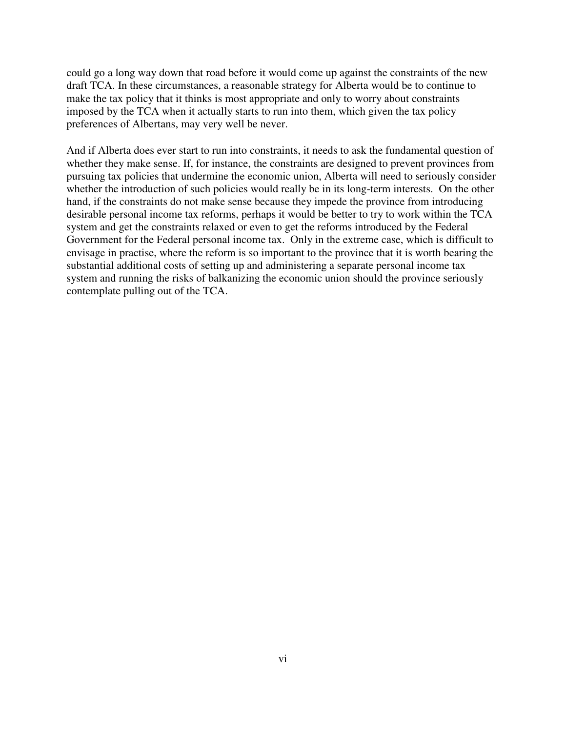could go a long way down that road before it would come up against the constraints of the new draft TCA. In these circumstances, a reasonable strategy for Alberta would be to continue to make the tax policy that it thinks is most appropriate and only to worry about constraints imposed by the TCA when it actually starts to run into them, which given the tax policy preferences of Albertans, may very well be never.

And if Alberta does ever start to run into constraints, it needs to ask the fundamental question of whether they make sense. If, for instance, the constraints are designed to prevent provinces from pursuing tax policies that undermine the economic union, Alberta will need to seriously consider whether the introduction of such policies would really be in its long-term interests. On the other hand, if the constraints do not make sense because they impede the province from introducing desirable personal income tax reforms, perhaps it would be better to try to work within the TCA system and get the constraints relaxed or even to get the reforms introduced by the Federal Government for the Federal personal income tax. Only in the extreme case, which is difficult to envisage in practise, where the reform is so important to the province that it is worth bearing the substantial additional costs of setting up and administering a separate personal income tax system and running the risks of balkanizing the economic union should the province seriously contemplate pulling out of the TCA.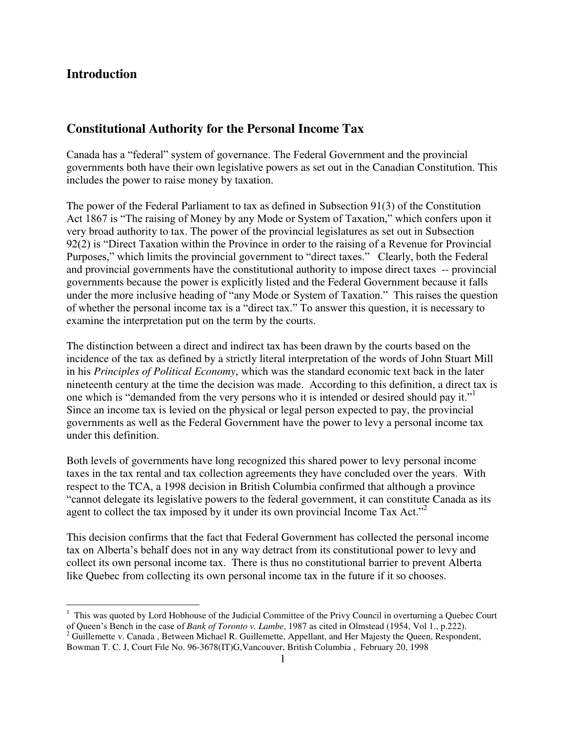## **Introduction**

## **Constitutional Authority for the Personal Income Tax**

Canada has a "federal" system of governance. The Federal Government and the provincial governments both have their own legislative powers as set out in the Canadian Constitution. This includes the power to raise money by taxation.

The power of the Federal Parliament to tax as defined in Subsection 91(3) of the Constitution Act 1867 is "The raising of Money by any Mode or System of Taxation," which confers upon it very broad authority to tax. The power of the provincial legislatures as set out in Subsection 92(2) is "Direct Taxation within the Province in order to the raising of a Revenue for Provincial Purposes," which limits the provincial government to "direct taxes." Clearly, both the Federal and provincial governments have the constitutional authority to impose direct taxes -- provincial governments because the power is explicitly listed and the Federal Government because it falls under the more inclusive heading of "any Mode or System of Taxation." This raises the question of whether the personal income tax is a "direct tax." To answer this question, it is necessary to examine the interpretation put on the term by the courts.

The distinction between a direct and indirect tax has been drawn by the courts based on the incidence of the tax as defined by a strictly literal interpretation of the words of John Stuart Mill in his *Principles of Political Economy*, which was the standard economic text back in the later nineteenth century at the time the decision was made. According to this definition, a direct tax is one which is "demanded from the very persons who it is intended or desired should pay it." Since an income tax is levied on the physical or legal person expected to pay, the provincial governments as well as the Federal Government have the power to levy a personal income tax under this definition.

Both levels of governments have long recognized this shared power to levy personal income taxes in the tax rental and tax collection agreements they have concluded over the years. With respect to the TCA, a 1998 decision in British Columbia confirmed that although a province "cannot delegate its legislative powers to the federal government, it can constitute Canada as its agent to collect the tax imposed by it under its own provincial Income Tax Act."<sup>2</sup>

This decision confirms that the fact that Federal Government has collected the personal income tax on Alberta's behalf does not in any way detract from its constitutional power to levy and collect its own personal income tax. There is thus no constitutional barrier to prevent Alberta like Quebec from collecting its own personal income tax in the future if it so chooses.

 $1$  This was quoted by Lord Hobhouse of the Judicial Committee of the Privy Council in overturning a Quebec Court of Queen's Bench in the case of *Bank of Toronto v. Lambe*, 1987 as cited in Olmstead (1954, Vol 1., p.222).  $2^{2}$  Guillemette v. Canada, Between Michael R. Guillemette, Appellant, and Her Majesty the Queen, Respondent, Bowman T. C. J, Court File No. 96-3678(IT)G,Vancouver, British Columbia , February 20, 1998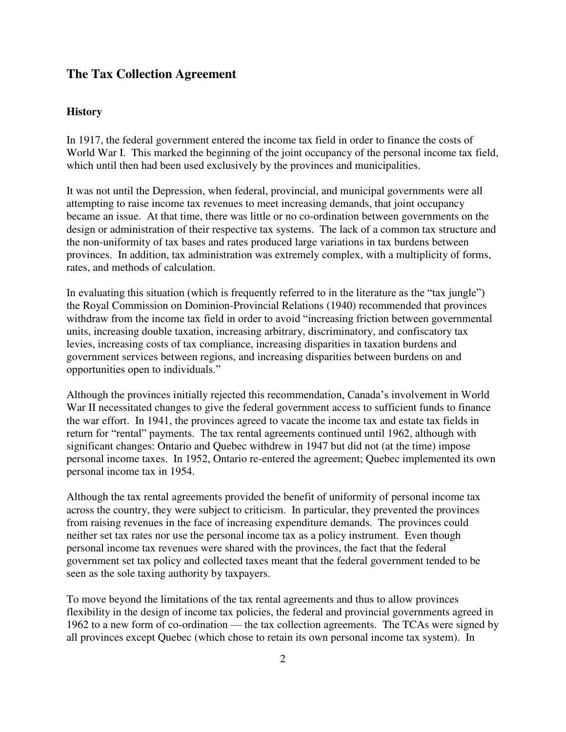## **The Tax Collection Agreement**

#### **History**

In 1917, the federal government entered the income tax field in order to finance the costs of World War I. This marked the beginning of the joint occupancy of the personal income tax field, which until then had been used exclusively by the provinces and municipalities.

It was not until the Depression, when federal, provincial, and municipal governments were all attempting to raise income tax revenues to meet increasing demands, that joint occupancy became an issue. At that time, there was little or no co-ordination between governments on the design or administration of their respective tax systems. The lack of a common tax structure and the non-uniformity of tax bases and rates produced large variations in tax burdens between provinces. In addition, tax administration was extremely complex, with a multiplicity of forms, rates, and methods of calculation.

In evaluating this situation (which is frequently referred to in the literature as the "tax jungle") the Royal Commission on Dominion-Provincial Relations (1940) recommended that provinces withdraw from the income tax field in order to avoid "increasing friction between governmental units, increasing double taxation, increasing arbitrary, discriminatory, and confiscatory tax levies, increasing costs of tax compliance, increasing disparities in taxation burdens and government services between regions, and increasing disparities between burdens on and opportunities open to individuals."

Although the provinces initially rejected this recommendation, Canada's involvement in World War II necessitated changes to give the federal government access to sufficient funds to finance the war effort. In 1941, the provinces agreed to vacate the income tax and estate tax fields in return for "rental" payments. The tax rental agreements continued until 1962, although with significant changes: Ontario and Quebec withdrew in 1947 but did not (at the time) impose personal income taxes. In 1952, Ontario re-entered the agreement; Quebec implemented its own personal income tax in 1954.

Although the tax rental agreements provided the benefit of uniformity of personal income tax across the country, they were subject to criticism. In particular, they prevented the provinces from raising revenues in the face of increasing expenditure demands. The provinces could neither set tax rates nor use the personal income tax as a policy instrument. Even though personal income tax revenues were shared with the provinces, the fact that the federal government set tax policy and collected taxes meant that the federal government tended to be seen as the sole taxing authority by taxpayers.

To move beyond the limitations of the tax rental agreements and thus to allow provinces flexibility in the design of income tax policies, the federal and provincial governments agreed in 1962 to a new form of co-ordination — the tax collection agreements. The TCAs were signed by all provinces except Quebec (which chose to retain its own personal income tax system). In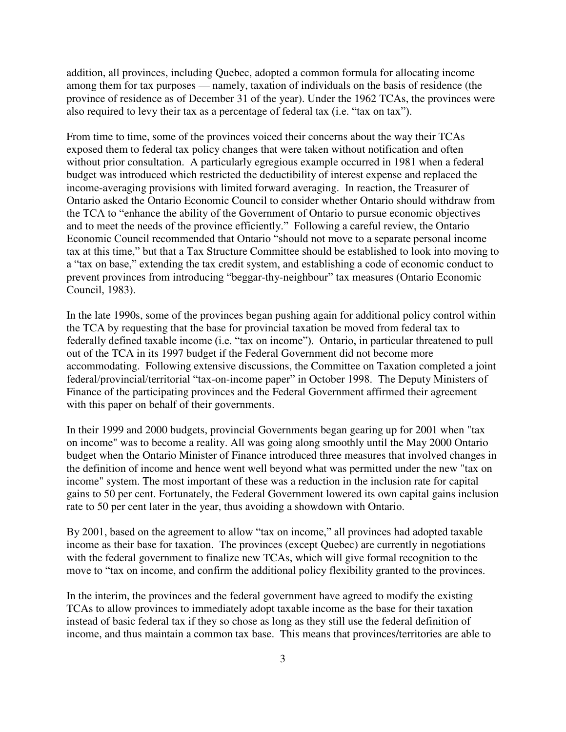addition, all provinces, including Quebec, adopted a common formula for allocating income among them for tax purposes — namely, taxation of individuals on the basis of residence (the province of residence as of December 31 of the year). Under the 1962 TCAs, the provinces were also required to levy their tax as a percentage of federal tax (i.e. "tax on tax").

From time to time, some of the provinces voiced their concerns about the way their TCAs exposed them to federal tax policy changes that were taken without notification and often without prior consultation. A particularly egregious example occurred in 1981 when a federal budget was introduced which restricted the deductibility of interest expense and replaced the income-averaging provisions with limited forward averaging. In reaction, the Treasurer of Ontario asked the Ontario Economic Council to consider whether Ontario should withdraw from the TCA to "enhance the ability of the Government of Ontario to pursue economic objectives and to meet the needs of the province efficiently." Following a careful review, the Ontario Economic Council recommended that Ontario "should not move to a separate personal income tax at this time," but that a Tax Structure Committee should be established to look into moving to a "tax on base," extending the tax credit system, and establishing a code of economic conduct to prevent provinces from introducing "beggar-thy-neighbour" tax measures (Ontario Economic Council, 1983).

In the late 1990s, some of the provinces began pushing again for additional policy control within the TCA by requesting that the base for provincial taxation be moved from federal tax to federally defined taxable income (i.e. "tax on income"). Ontario, in particular threatened to pull out of the TCA in its 1997 budget if the Federal Government did not become more accommodating. Following extensive discussions, the Committee on Taxation completed a joint federal/provincial/territorial "tax-on-income paper" in October 1998. The Deputy Ministers of Finance of the participating provinces and the Federal Government affirmed their agreement with this paper on behalf of their governments.

In their 1999 and 2000 budgets, provincial Governments began gearing up for 2001 when "tax on income" was to become a reality. All was going along smoothly until the May 2000 Ontario budget when the Ontario Minister of Finance introduced three measures that involved changes in the definition of income and hence went well beyond what was permitted under the new "tax on income" system. The most important of these was a reduction in the inclusion rate for capital gains to 50 per cent. Fortunately, the Federal Government lowered its own capital gains inclusion rate to 50 per cent later in the year, thus avoiding a showdown with Ontario.

By 2001, based on the agreement to allow "tax on income," all provinces had adopted taxable income as their base for taxation. The provinces (except Quebec) are currently in negotiations with the federal government to finalize new TCAs, which will give formal recognition to the move to "tax on income, and confirm the additional policy flexibility granted to the provinces.

In the interim, the provinces and the federal government have agreed to modify the existing TCAs to allow provinces to immediately adopt taxable income as the base for their taxation instead of basic federal tax if they so chose as long as they still use the federal definition of income, and thus maintain a common tax base. This means that provinces/territories are able to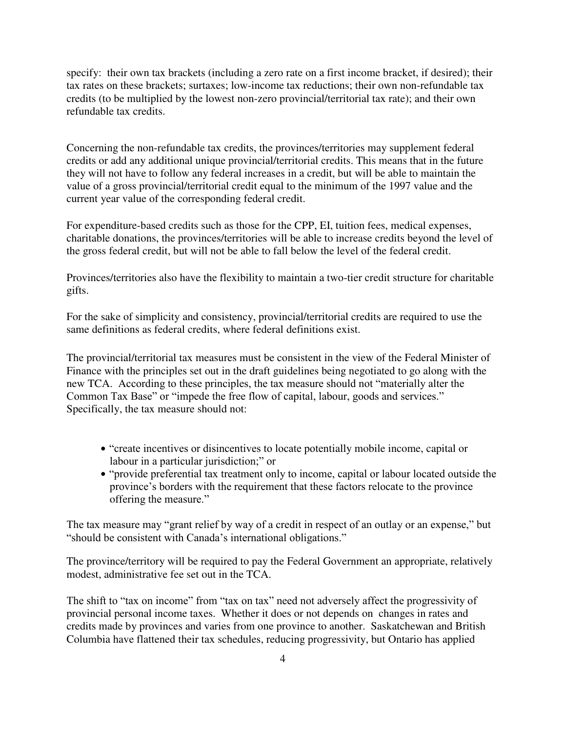specify: their own tax brackets (including a zero rate on a first income bracket, if desired); their tax rates on these brackets; surtaxes; low-income tax reductions; their own non-refundable tax credits (to be multiplied by the lowest non-zero provincial/territorial tax rate); and their own refundable tax credits.

Concerning the non-refundable tax credits, the provinces/territories may supplement federal credits or add any additional unique provincial/territorial credits. This means that in the future they will not have to follow any federal increases in a credit, but will be able to maintain the value of a gross provincial/territorial credit equal to the minimum of the 1997 value and the current year value of the corresponding federal credit.

For expenditure-based credits such as those for the CPP, EI, tuition fees, medical expenses, charitable donations, the provinces/territories will be able to increase credits beyond the level of the gross federal credit, but will not be able to fall below the level of the federal credit.

Provinces/territories also have the flexibility to maintain a two-tier credit structure for charitable gifts.

For the sake of simplicity and consistency, provincial/territorial credits are required to use the same definitions as federal credits, where federal definitions exist.

The provincial/territorial tax measures must be consistent in the view of the Federal Minister of Finance with the principles set out in the draft guidelines being negotiated to go along with the new TCA. According to these principles, the tax measure should not "materially alter the Common Tax Base" or "impede the free flow of capital, labour, goods and services." Specifically, the tax measure should not:

- "create incentives or disincentives to locate potentially mobile income, capital or labour in a particular jurisdiction;" or
- "provide preferential tax treatment only to income, capital or labour located outside the province's borders with the requirement that these factors relocate to the province offering the measure."

The tax measure may "grant relief by way of a credit in respect of an outlay or an expense," but "should be consistent with Canada's international obligations."

The province/territory will be required to pay the Federal Government an appropriate, relatively modest, administrative fee set out in the TCA.

The shift to "tax on income" from "tax on tax" need not adversely affect the progressivity of provincial personal income taxes. Whether it does or not depends on changes in rates and credits made by provinces and varies from one province to another. Saskatchewan and British Columbia have flattened their tax schedules, reducing progressivity, but Ontario has applied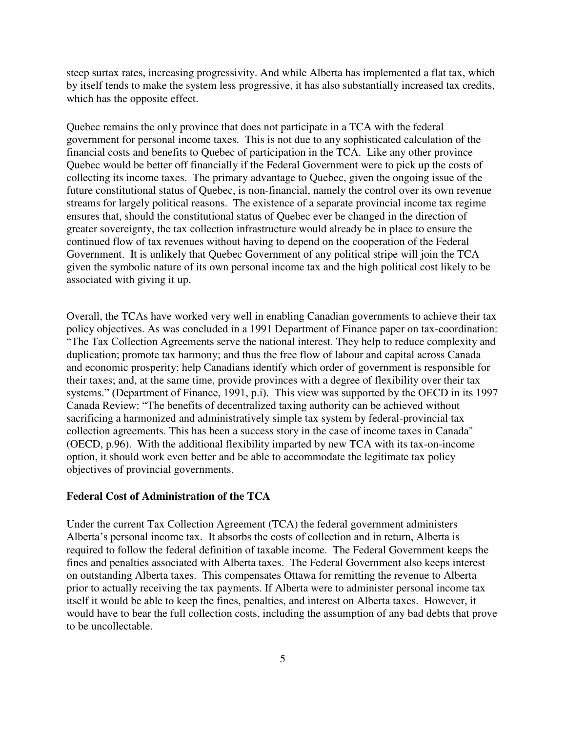steep surtax rates, increasing progressivity. And while Alberta has implemented a flat tax, which by itself tends to make the system less progressive, it has also substantially increased tax credits, which has the opposite effect.

Quebec remains the only province that does not participate in a TCA with the federal government for personal income taxes. This is not due to any sophisticated calculation of the financial costs and benefits to Quebec of participation in the TCA. Like any other province Quebec would be better off financially if the Federal Government were to pick up the costs of collecting its income taxes. The primary advantage to Quebec, given the ongoing issue of the future constitutional status of Quebec, is non-financial, namely the control over its own revenue streams for largely political reasons. The existence of a separate provincial income tax regime ensures that, should the constitutional status of Quebec ever be changed in the direction of greater sovereignty, the tax collection infrastructure would already be in place to ensure the continued flow of tax revenues without having to depend on the cooperation of the Federal Government. It is unlikely that Quebec Government of any political stripe will join the TCA given the symbolic nature of its own personal income tax and the high political cost likely to be associated with giving it up.

Overall, the TCAs have worked very well in enabling Canadian governments to achieve their tax policy objectives. As was concluded in a 1991 Department of Finance paper on tax-coordination: "The Tax Collection Agreements serve the national interest. They help to reduce complexity and duplication; promote tax harmony; and thus the free flow of labour and capital across Canada and economic prosperity; help Canadians identify which order of government is responsible for their taxes; and, at the same time, provide provinces with a degree of flexibility over their tax systems." (Department of Finance, 1991, p.i). This view was supported by the OECD in its 1997 Canada Review: "The benefits of decentralized taxing authority can be achieved without sacrificing a harmonized and administratively simple tax system by federal-provincial tax collection agreements. This has been a success story in the case of income taxes in Canada" (OECD, p.96). With the additional flexibility imparted by new TCA with its tax-on-income option, it should work even better and be able to accommodate the legitimate tax policy objectives of provincial governments.

#### **Federal Cost of Administration of the TCA**

Under the current Tax Collection Agreement (TCA) the federal government administers Alberta's personal income tax. It absorbs the costs of collection and in return, Alberta is required to follow the federal definition of taxable income. The Federal Government keeps the fines and penalties associated with Alberta taxes. The Federal Government also keeps interest on outstanding Alberta taxes. This compensates Ottawa for remitting the revenue to Alberta prior to actually receiving the tax payments. If Alberta were to administer personal income tax itself it would be able to keep the fines, penalties, and interest on Alberta taxes. However, it would have to bear the full collection costs, including the assumption of any bad debts that prove to be uncollectable.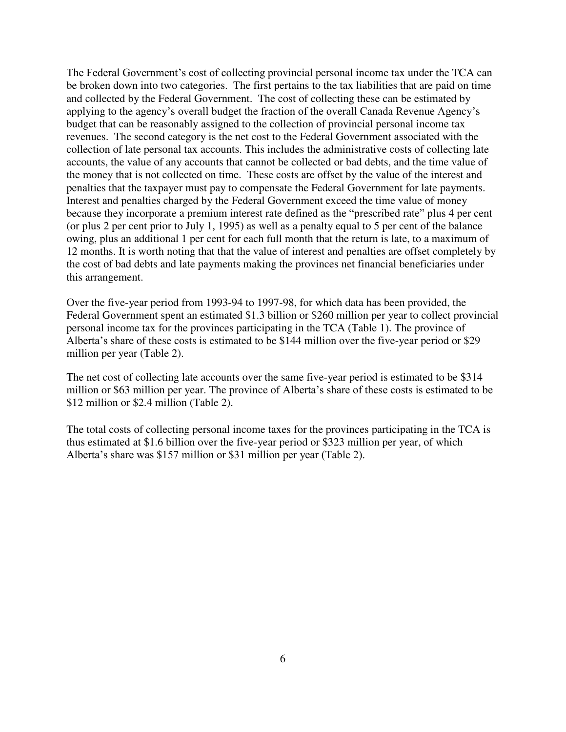The Federal Government's cost of collecting provincial personal income tax under the TCA can be broken down into two categories. The first pertains to the tax liabilities that are paid on time and collected by the Federal Government. The cost of collecting these can be estimated by applying to the agency's overall budget the fraction of the overall Canada Revenue Agency's budget that can be reasonably assigned to the collection of provincial personal income tax revenues. The second category is the net cost to the Federal Government associated with the collection of late personal tax accounts. This includes the administrative costs of collecting late accounts, the value of any accounts that cannot be collected or bad debts, and the time value of the money that is not collected on time. These costs are offset by the value of the interest and penalties that the taxpayer must pay to compensate the Federal Government for late payments. Interest and penalties charged by the Federal Government exceed the time value of money because they incorporate a premium interest rate defined as the "prescribed rate" plus 4 per cent (or plus 2 per cent prior to July 1, 1995) as well as a penalty equal to 5 per cent of the balance owing, plus an additional 1 per cent for each full month that the return is late, to a maximum of 12 months. It is worth noting that that the value of interest and penalties are offset completely by the cost of bad debts and late payments making the provinces net financial beneficiaries under this arrangement.

Over the five-year period from 1993-94 to 1997-98, for which data has been provided, the Federal Government spent an estimated \$1.3 billion or \$260 million per year to collect provincial personal income tax for the provinces participating in the TCA (Table 1). The province of Alberta's share of these costs is estimated to be \$144 million over the five-year period or \$29 million per year (Table 2).

The net cost of collecting late accounts over the same five-year period is estimated to be \$314 million or \$63 million per year. The province of Alberta's share of these costs is estimated to be \$12 million or \$2.4 million (Table 2).

The total costs of collecting personal income taxes for the provinces participating in the TCA is thus estimated at \$1.6 billion over the five-year period or \$323 million per year, of which Alberta's share was \$157 million or \$31 million per year (Table 2).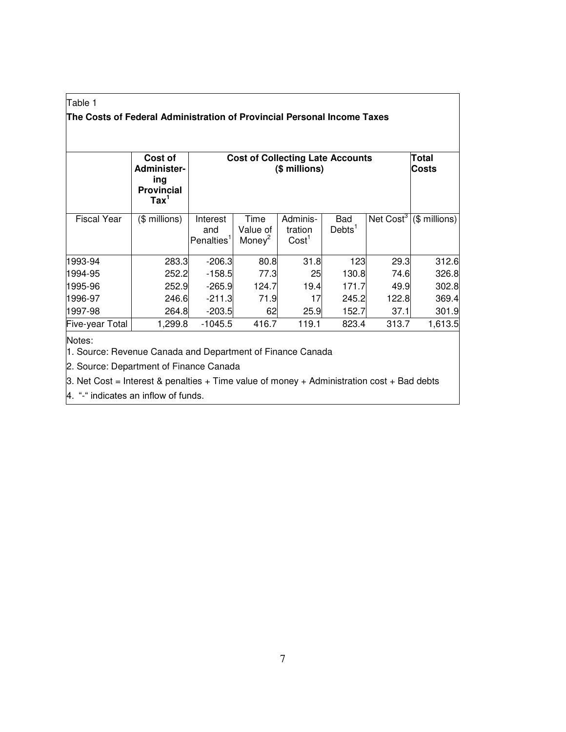## Table 1 **The Costs of Federal Administration of Provincial Personal Income Taxes**

|                    | Cost of<br>Administer-<br>ing<br><b>Provincial</b><br>$\text{Tax}^1$ | <b>Cost of Collecting Late Accounts</b>   | Total<br><b>Costs</b>                  |                                          |                                  |                       |                |
|--------------------|----------------------------------------------------------------------|-------------------------------------------|----------------------------------------|------------------------------------------|----------------------------------|-----------------------|----------------|
| <b>Fiscal Year</b> | (\$ millions)                                                        | Interest<br>and<br>Penalties <sup>1</sup> | Time<br>Value of<br>Money <sup>2</sup> | Adminis-<br>tration<br>Cost <sup>1</sup> | <b>Bad</b><br>Debts <sup>1</sup> | Net Cost <sup>3</sup> | $($$ millions) |
| 1993-94            | 283.3                                                                | $-206.3$                                  | 80.8                                   | 31.8                                     | 123                              | 29.3                  | 312.6          |
| 1994-95            | 252.2                                                                | $-158.5$                                  | 77.3                                   | 25                                       | 130.8                            | 74.6                  | 326.8          |
| 1995-96            | 252.9                                                                | $-265.9$                                  | 124.7                                  | 19.4                                     | 171.7                            | 49.9                  | 302.8          |
| 1996-97            | 246.6                                                                | $-211.3$                                  | 71.9                                   | 17                                       | 245.2                            | 122.8                 | 369.4          |
| 1997-98            | 264.8                                                                | $-203.5$                                  | 62                                     | 25.9                                     | 152.7                            | 37.1                  | 301.9          |
| Five-year Total    | 1,299.8                                                              | $-1045.5$                                 | 416.7                                  | 119.1                                    | 823.4                            | 313.7                 | 1,613.5        |

Notes:

1. Source: Revenue Canada and Department of Finance Canada

2. Source: Department of Finance Canada

3. Net Cost = Interest & penalties + Time value of money + Administration cost + Bad debts

4. "-" indicates an inflow of funds.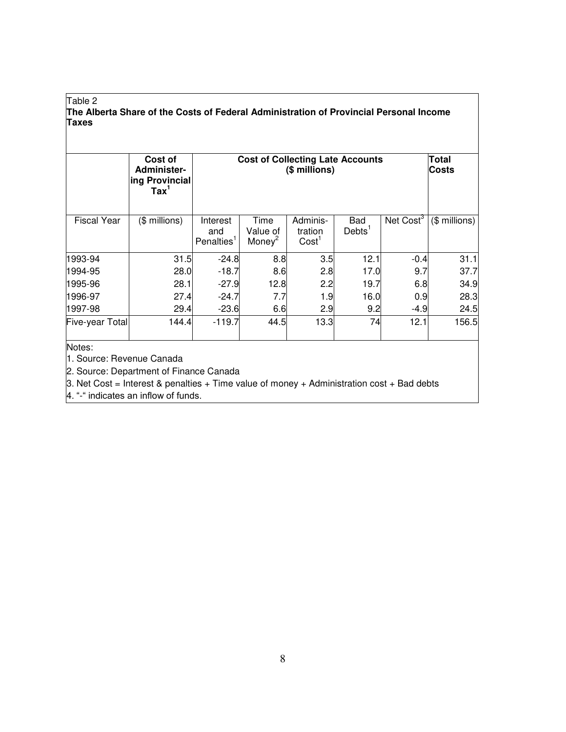#### Table 2 **The Alberta Share of the Costs of Federal Administration of Provincial Personal Income Taxes**

|                                     | Cost of<br>Administer-<br>ing Provincial<br>$\text{Tax}^1$ | <b>Cost of Collecting Late Accounts</b>   | Total<br><b>Costs</b>     |                                          |                                  |                       |                |
|-------------------------------------|------------------------------------------------------------|-------------------------------------------|---------------------------|------------------------------------------|----------------------------------|-----------------------|----------------|
| <b>Fiscal Year</b>                  | (\$ millions)                                              | Interest<br>and<br>Penalties <sup>1</sup> | Time<br>Value of<br>Money | Adminis-<br>tration<br>Cost <sup>1</sup> | <b>Bad</b><br>Debts <sup>1</sup> | Net Cost <sup>3</sup> | $($$ millions) |
| 1993-94                             | 31.5                                                       | $-24.8$                                   | 8.8                       | 3.5                                      | 12.1                             | $-0.4$                | 31.1           |
| 1994-95                             | 28.0                                                       | $-18.7$                                   | 8.6                       | 2.8                                      | 17.0                             | 9.7                   | 37.7           |
| 1995-96                             | 28.1                                                       | $-27.9$                                   | 12.8                      | 2.2                                      | 19.7                             | 6.8                   | 34.9           |
| 1996-97                             | 27.4                                                       | $-24.7$                                   | 7.7                       | 1.9                                      | 16.0                             | 0.9                   | 28.3           |
| 1997-98                             | 29.4                                                       | $-23.6$                                   | 6.6                       | 2.9                                      | 9.2                              | $-4.9$                | 24.5           |
| Five-year Total                     | 144.4                                                      | -119.7                                    | 44.5                      | 13.3                                     | 74                               | 12.1                  | 156.5          |
| Notes:<br>1. Source: Revenue Canada |                                                            |                                           |                           |                                          |                                  |                       |                |

2. Source: Department of Finance Canada

3. Net Cost = Interest & penalties + Time value of money + Administration cost + Bad debts

4. "-" indicates an inflow of funds.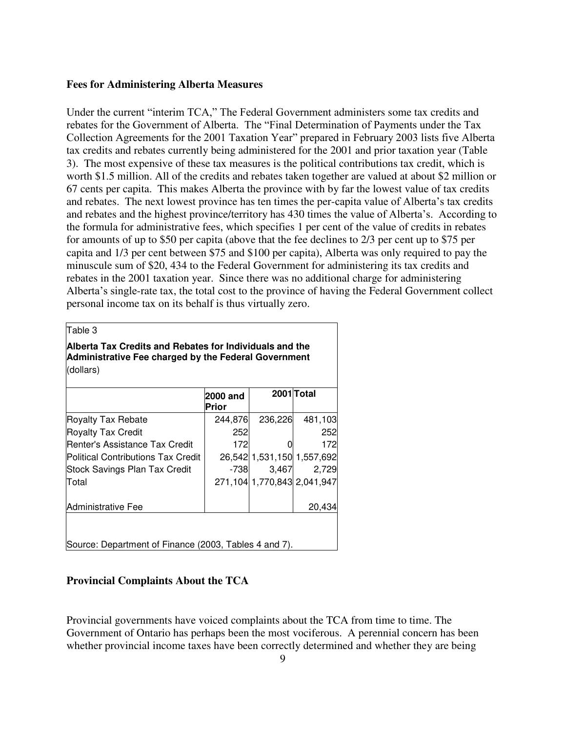#### **Fees for Administering Alberta Measures**

Under the current "interim TCA," The Federal Government administers some tax credits and rebates for the Government of Alberta. The "Final Determination of Payments under the Tax Collection Agreements for the 2001 Taxation Year" prepared in February 2003 lists five Alberta tax credits and rebates currently being administered for the 2001 and prior taxation year (Table 3). The most expensive of these tax measures is the political contributions tax credit, which is worth \$1.5 million. All of the credits and rebates taken together are valued at about \$2 million or 67 cents per capita. This makes Alberta the province with by far the lowest value of tax credits and rebates. The next lowest province has ten times the per-capita value of Alberta's tax credits and rebates and the highest province/territory has 430 times the value of Alberta's. According to the formula for administrative fees, which specifies 1 per cent of the value of credits in rebates for amounts of up to \$50 per capita (above that the fee declines to 2/3 per cent up to \$75 per capita and 1/3 per cent between \$75 and \$100 per capita), Alberta was only required to pay the minuscule sum of \$20, 434 to the Federal Government for administering its tax credits and rebates in the 2001 taxation year. Since there was no additional charge for administering Alberta's single-rate tax, the total cost to the province of having the Federal Government collect personal income tax on its behalf is thus virtually zero.

|--|--|

**Alberta Tax Credits and Rebates for Individuals and the Administrative Fee charged by the Federal Government** (dollars)

|                                                       | 2000 and<br>Prior |                                  | 2001 Total |
|-------------------------------------------------------|-------------------|----------------------------------|------------|
| <b>Royalty Tax Rebate</b>                             | 244,876           | 236,226                          | 481,103    |
| <b>Royalty Tax Credit</b>                             | 252               |                                  | 252        |
| lRenter's Assistance Tax Credit                       | 172               |                                  | 172        |
| lPolitical Contributions Tax Credit                   |                   | 26,542 1,531,150 1,557,692       |            |
| Stock Savings Plan Tax Credit                         | -738              | 3,467                            | 2,729      |
| Total                                                 |                   | 271, 104 1, 770, 843 2, 041, 947 |            |
| Administrative Fee                                    |                   |                                  | 20.434     |
| Source: Department of Finance (2003, Tables 4 and 7). |                   |                                  |            |

#### **Provincial Complaints About the TCA**

Provincial governments have voiced complaints about the TCA from time to time. The Government of Ontario has perhaps been the most vociferous. A perennial concern has been whether provincial income taxes have been correctly determined and whether they are being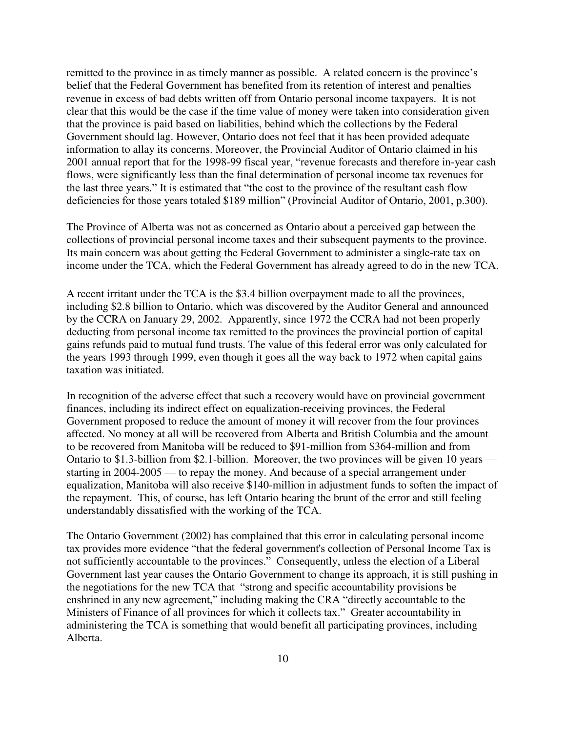remitted to the province in as timely manner as possible. A related concern is the province's belief that the Federal Government has benefited from its retention of interest and penalties revenue in excess of bad debts written off from Ontario personal income taxpayers. It is not clear that this would be the case if the time value of money were taken into consideration given that the province is paid based on liabilities, behind which the collections by the Federal Government should lag. However, Ontario does not feel that it has been provided adequate information to allay its concerns. Moreover, the Provincial Auditor of Ontario claimed in his 2001 annual report that for the 1998-99 fiscal year, "revenue forecasts and therefore in-year cash flows, were significantly less than the final determination of personal income tax revenues for the last three years." It is estimated that "the cost to the province of the resultant cash flow deficiencies for those years totaled \$189 million" (Provincial Auditor of Ontario, 2001, p.300).

The Province of Alberta was not as concerned as Ontario about a perceived gap between the collections of provincial personal income taxes and their subsequent payments to the province. Its main concern was about getting the Federal Government to administer a single-rate tax on income under the TCA, which the Federal Government has already agreed to do in the new TCA.

A recent irritant under the TCA is the \$3.4 billion overpayment made to all the provinces, including \$2.8 billion to Ontario, which was discovered by the Auditor General and announced by the CCRA on January 29, 2002. Apparently, since 1972 the CCRA had not been properly deducting from personal income tax remitted to the provinces the provincial portion of capital gains refunds paid to mutual fund trusts. The value of this federal error was only calculated for the years 1993 through 1999, even though it goes all the way back to 1972 when capital gains taxation was initiated.

In recognition of the adverse effect that such a recovery would have on provincial government finances, including its indirect effect on equalization-receiving provinces, the Federal Government proposed to reduce the amount of money it will recover from the four provinces affected. No money at all will be recovered from Alberta and British Columbia and the amount to be recovered from Manitoba will be reduced to \$91-million from \$364-million and from Ontario to \$1.3-billion from \$2.1-billion. Moreover, the two provinces will be given 10 years starting in 2004-2005 — to repay the money. And because of a special arrangement under equalization, Manitoba will also receive \$140-million in adjustment funds to soften the impact of the repayment. This, of course, has left Ontario bearing the brunt of the error and still feeling understandably dissatisfied with the working of the TCA.

The Ontario Government (2002) has complained that this error in calculating personal income tax provides more evidence "that the federal government's collection of Personal Income Tax is not sufficiently accountable to the provinces." Consequently, unless the election of a Liberal Government last year causes the Ontario Government to change its approach, it is still pushing in the negotiations for the new TCA that "strong and specific accountability provisions be enshrined in any new agreement," including making the CRA "directly accountable to the Ministers of Finance of all provinces for which it collects tax." Greater accountability in administering the TCA is something that would benefit all participating provinces, including Alberta.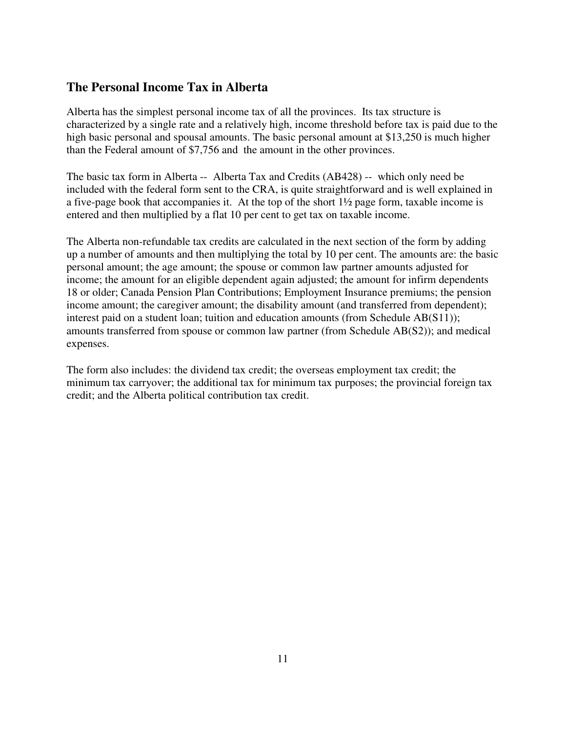## **The Personal Income Tax in Alberta**

Alberta has the simplest personal income tax of all the provinces. Its tax structure is characterized by a single rate and a relatively high, income threshold before tax is paid due to the high basic personal and spousal amounts. The basic personal amount at \$13,250 is much higher than the Federal amount of \$7,756 and the amount in the other provinces.

The basic tax form in Alberta -- Alberta Tax and Credits (AB428) -- which only need be included with the federal form sent to the CRA, is quite straightforward and is well explained in a five-page book that accompanies it. At the top of the short 1½ page form, taxable income is entered and then multiplied by a flat 10 per cent to get tax on taxable income.

The Alberta non-refundable tax credits are calculated in the next section of the form by adding up a number of amounts and then multiplying the total by 10 per cent. The amounts are: the basic personal amount; the age amount; the spouse or common law partner amounts adjusted for income; the amount for an eligible dependent again adjusted; the amount for infirm dependents 18 or older; Canada Pension Plan Contributions; Employment Insurance premiums; the pension income amount; the caregiver amount; the disability amount (and transferred from dependent); interest paid on a student loan; tuition and education amounts (from Schedule AB(S11)); amounts transferred from spouse or common law partner (from Schedule AB(S2)); and medical expenses.

The form also includes: the dividend tax credit; the overseas employment tax credit; the minimum tax carryover; the additional tax for minimum tax purposes; the provincial foreign tax credit; and the Alberta political contribution tax credit.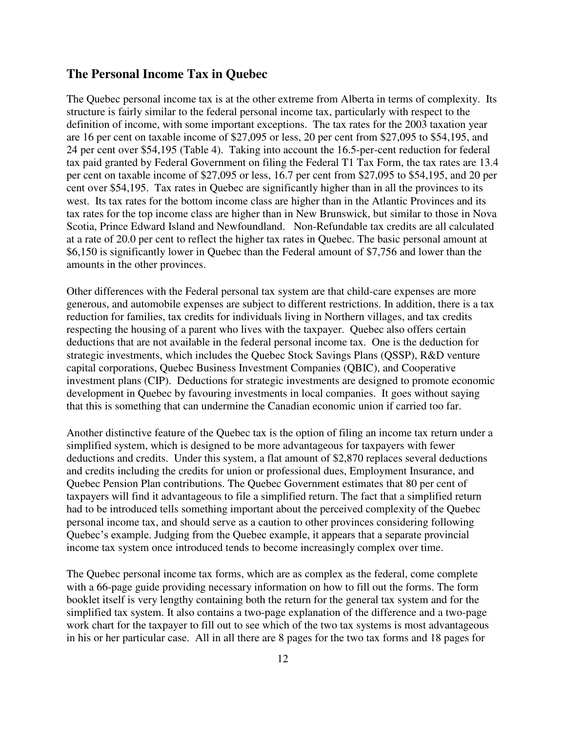#### **The Personal Income Tax in Quebec**

The Quebec personal income tax is at the other extreme from Alberta in terms of complexity. Its structure is fairly similar to the federal personal income tax, particularly with respect to the definition of income, with some important exceptions. The tax rates for the 2003 taxation year are 16 per cent on taxable income of \$27,095 or less, 20 per cent from \$27,095 to \$54,195, and 24 per cent over \$54,195 (Table 4). Taking into account the 16.5-per-cent reduction for federal tax paid granted by Federal Government on filing the Federal T1 Tax Form, the tax rates are 13.4 per cent on taxable income of \$27,095 or less, 16.7 per cent from \$27,095 to \$54,195, and 20 per cent over \$54,195. Tax rates in Quebec are significantly higher than in all the provinces to its west. Its tax rates for the bottom income class are higher than in the Atlantic Provinces and its tax rates for the top income class are higher than in New Brunswick, but similar to those in Nova Scotia, Prince Edward Island and Newfoundland. Non-Refundable tax credits are all calculated at a rate of 20.0 per cent to reflect the higher tax rates in Quebec. The basic personal amount at \$6,150 is significantly lower in Quebec than the Federal amount of \$7,756 and lower than the amounts in the other provinces.

Other differences with the Federal personal tax system are that child-care expenses are more generous, and automobile expenses are subject to different restrictions. In addition, there is a tax reduction for families, tax credits for individuals living in Northern villages, and tax credits respecting the housing of a parent who lives with the taxpayer. Quebec also offers certain deductions that are not available in the federal personal income tax. One is the deduction for strategic investments, which includes the Quebec Stock Savings Plans (QSSP), R&D venture capital corporations, Quebec Business Investment Companies (QBIC), and Cooperative investment plans (CIP). Deductions for strategic investments are designed to promote economic development in Quebec by favouring investments in local companies. It goes without saying that this is something that can undermine the Canadian economic union if carried too far.

Another distinctive feature of the Quebec tax is the option of filing an income tax return under a simplified system, which is designed to be more advantageous for taxpayers with fewer deductions and credits. Under this system, a flat amount of \$2,870 replaces several deductions and credits including the credits for union or professional dues, Employment Insurance, and Quebec Pension Plan contributions. The Quebec Government estimates that 80 per cent of taxpayers will find it advantageous to file a simplified return. The fact that a simplified return had to be introduced tells something important about the perceived complexity of the Quebec personal income tax, and should serve as a caution to other provinces considering following Quebec's example. Judging from the Quebec example, it appears that a separate provincial income tax system once introduced tends to become increasingly complex over time.

The Quebec personal income tax forms, which are as complex as the federal, come complete with a 66-page guide providing necessary information on how to fill out the forms. The form booklet itself is very lengthy containing both the return for the general tax system and for the simplified tax system. It also contains a two-page explanation of the difference and a two-page work chart for the taxpayer to fill out to see which of the two tax systems is most advantageous in his or her particular case. All in all there are 8 pages for the two tax forms and 18 pages for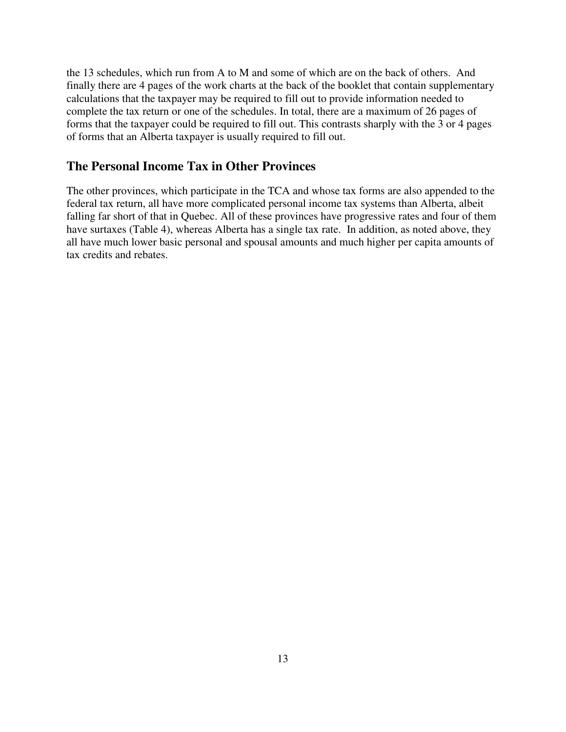the 13 schedules, which run from A to M and some of which are on the back of others. And finally there are 4 pages of the work charts at the back of the booklet that contain supplementary calculations that the taxpayer may be required to fill out to provide information needed to complete the tax return or one of the schedules. In total, there are a maximum of 26 pages of forms that the taxpayer could be required to fill out. This contrasts sharply with the 3 or 4 pages of forms that an Alberta taxpayer is usually required to fill out.

## **The Personal Income Tax in Other Provinces**

The other provinces, which participate in the TCA and whose tax forms are also appended to the federal tax return, all have more complicated personal income tax systems than Alberta, albeit falling far short of that in Quebec. All of these provinces have progressive rates and four of them have surtaxes (Table 4), whereas Alberta has a single tax rate. In addition, as noted above, they all have much lower basic personal and spousal amounts and much higher per capita amounts of tax credits and rebates.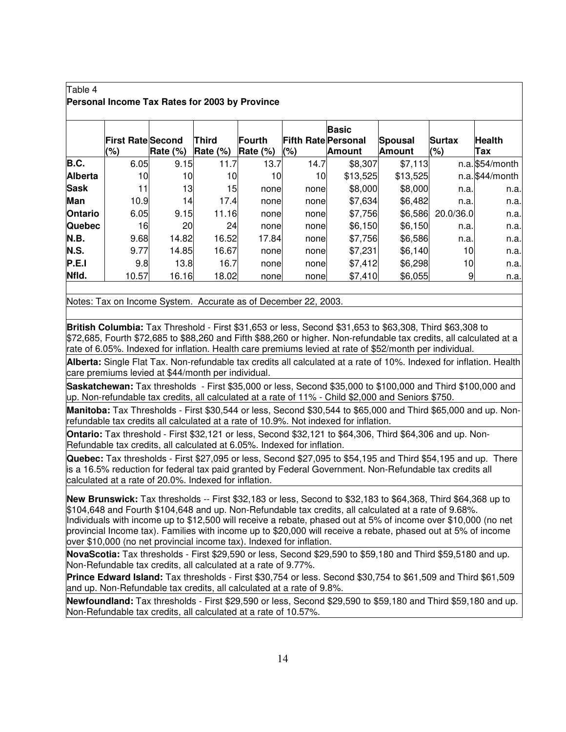#### Table 4 **Personal Income Tax Rates for 2003 by Province**

|                | <b>First Rate Second</b><br>(%) | Rate $(\%)$ | Third<br>Rate $(\%)$ | Fourth<br>Rate (%) | <b>Fifth Rate Personal</b><br>(%) | <b>Basic</b><br><b>Amount</b> | Spousal<br><b>Amount</b> | <b>Surtax</b><br>(%) | <b>Health</b><br>Tax |
|----------------|---------------------------------|-------------|----------------------|--------------------|-----------------------------------|-------------------------------|--------------------------|----------------------|----------------------|
| B.C.           | 6.05                            | 9.15        | 11.7                 | 13.7               | 14.7                              | \$8,307                       | \$7,113                  |                      | $n.a.$ \$54/month    |
| Alberta        | 10                              | 10          | 10                   | 10                 | 10                                | \$13,525                      | \$13,525                 |                      | $n.a.$ \$44/month    |
| <b>Sask</b>    | 11                              | 13          | 15                   | none               | none                              | \$8,000                       | \$8,000                  | n.a.                 | n.a.                 |
| Man            | 10.9                            | 14          | 17.4                 | none               | none                              | \$7,634                       | \$6,482                  | n.a.                 | n.a.                 |
| <b>Ontario</b> | 6.05                            | 9.15        | 11.16                | none               | none                              | \$7,756                       | \$6,586                  | 20.0/36.0            | n.a.                 |
| <b>Quebec</b>  | 16                              | 20          | 24                   | none               | none                              | \$6,150                       | \$6,150                  | n.a.                 | n.a.                 |
| N.B.           | 9.68                            | 14.82       | 16.52                | 17.84              | none                              | \$7,756                       | \$6,586                  | n.a.                 | n.a.                 |
| <b>N.S.</b>    | 9.77                            | 14.85       | 16.67                | nonel              | none                              | \$7,231                       | \$6,140                  | 10                   | n.a.                 |
| P.E.I          | 9.8                             | 13.8        | 16.7                 | nonel              | none                              | \$7,412                       | \$6,298                  | 10                   | n.a.                 |
| Nfld.          | 10.57                           | 16.16       | 18.02                | none               | none                              | \$7,410                       | \$6,055                  | 9                    | n.a.                 |

Notes: Tax on Income System. Accurate as of December 22, 2003.

**British Columbia:** Tax Threshold - First \$31,653 or less, Second \$31,653 to \$63,308, Third \$63,308 to \$72,685, Fourth \$72,685 to \$88,260 and Fifth \$88,260 or higher. Non-refundable tax credits, all calculated at a rate of 6.05%. Indexed for inflation. Health care premiums levied at rate of \$52/month per individual.

**Alberta:** Single Flat Tax. Non-refundable tax credits all calculated at a rate of 10%. Indexed for inflation. Health care premiums levied at \$44/month per individual.

**Saskatchewan:** Tax thresholds - First \$35,000 or less, Second \$35,000 to \$100,000 and Third \$100,000 and up. Non-refundable tax credits, all calculated at a rate of 11% - Child \$2,000 and Seniors \$750.

**Manitoba:** Tax Thresholds - First \$30,544 or less, Second \$30,544 to \$65,000 and Third \$65,000 and up. Nonrefundable tax credits all calculated at a rate of 10.9%. Not indexed for inflation.

**Ontario:** Tax threshold - First \$32,121 or less, Second \$32,121 to \$64,306, Third \$64,306 and up. Non-Refundable tax credits, all calculated at 6.05%. Indexed for inflation.

**Quebec:** Tax thresholds - First \$27,095 or less, Second \$27,095 to \$54,195 and Third \$54,195 and up. There is a 16.5% reduction for federal tax paid granted by Federal Government. Non-Refundable tax credits all calculated at a rate of 20.0%. Indexed for inflation.

**New Brunswick:** Tax thresholds -- First \$32,183 or less, Second to \$32,183 to \$64,368, Third \$64,368 up to \$104,648 and Fourth \$104,648 and up. Non-Refundable tax credits, all calculated at a rate of 9.68%. Individuals with income up to \$12,500 will receive a rebate, phased out at 5% of income over \$10,000 (no net provincial Income tax). Families with income up to \$20,000 will receive a rebate, phased out at 5% of income over \$10,000 (no net provincial income tax). Indexed for inflation.

**NovaScotia:** Tax thresholds - First \$29,590 or less, Second \$29,590 to \$59,180 and Third \$59,5180 and up. Non-Refundable tax credits, all calculated at a rate of 9.77%.

**Prince Edward Island:** Tax thresholds - First \$30,754 or less. Second \$30,754 to \$61,509 and Third \$61,509 and up. Non-Refundable tax credits, all calculated at a rate of 9.8%.

**Newfoundland:** Tax thresholds - First \$29,590 or less, Second \$29,590 to \$59,180 and Third \$59,180 and up. Non-Refundable tax credits, all calculated at a rate of 10.57%.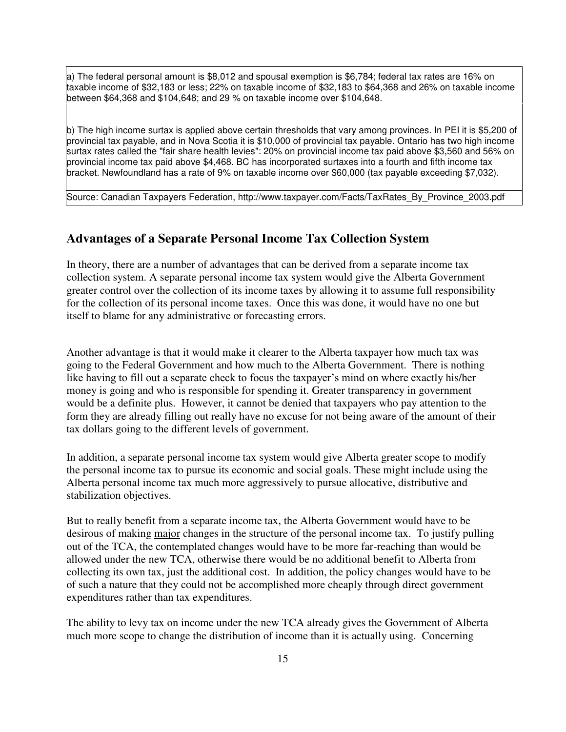a) The federal personal amount is \$8,012 and spousal exemption is \$6,784; federal tax rates are 16% on taxable income of \$32,183 or less; 22% on taxable income of \$32,183 to \$64,368 and 26% on taxable income between \$64,368 and \$104,648; and 29 % on taxable income over \$104,648.

b) The high income surtax is applied above certain thresholds that vary among provinces. In PEI it is \$5,200 of provincial tax payable, and in Nova Scotia it is \$10,000 of provincial tax payable. Ontario has two high income surtax rates called the "fair share health levies": 20% on provincial income tax paid above \$3,560 and 56% on provincial income tax paid above \$4,468. BC has incorporated surtaxes into a fourth and fifth income tax bracket. Newfoundland has a rate of 9% on taxable income over \$60,000 (tax payable exceeding \$7,032).

Source: Canadian Taxpayers Federation, http://www.taxpayer.com/Facts/TaxRates\_By\_Province\_2003.pdf

## **Advantages of a Separate Personal Income Tax Collection System**

In theory, there are a number of advantages that can be derived from a separate income tax collection system. A separate personal income tax system would give the Alberta Government greater control over the collection of its income taxes by allowing it to assume full responsibility for the collection of its personal income taxes. Once this was done, it would have no one but itself to blame for any administrative or forecasting errors.

Another advantage is that it would make it clearer to the Alberta taxpayer how much tax was going to the Federal Government and how much to the Alberta Government. There is nothing like having to fill out a separate check to focus the taxpayer's mind on where exactly his/her money is going and who is responsible for spending it. Greater transparency in government would be a definite plus. However, it cannot be denied that taxpayers who pay attention to the form they are already filling out really have no excuse for not being aware of the amount of their tax dollars going to the different levels of government.

In addition, a separate personal income tax system would give Alberta greater scope to modify the personal income tax to pursue its economic and social goals. These might include using the Alberta personal income tax much more aggressively to pursue allocative, distributive and stabilization objectives.

But to really benefit from a separate income tax, the Alberta Government would have to be desirous of making major changes in the structure of the personal income tax. To justify pulling out of the TCA, the contemplated changes would have to be more far-reaching than would be allowed under the new TCA, otherwise there would be no additional benefit to Alberta from collecting its own tax, just the additional cost. In addition, the policy changes would have to be of such a nature that they could not be accomplished more cheaply through direct government expenditures rather than tax expenditures.

The ability to levy tax on income under the new TCA already gives the Government of Alberta much more scope to change the distribution of income than it is actually using. Concerning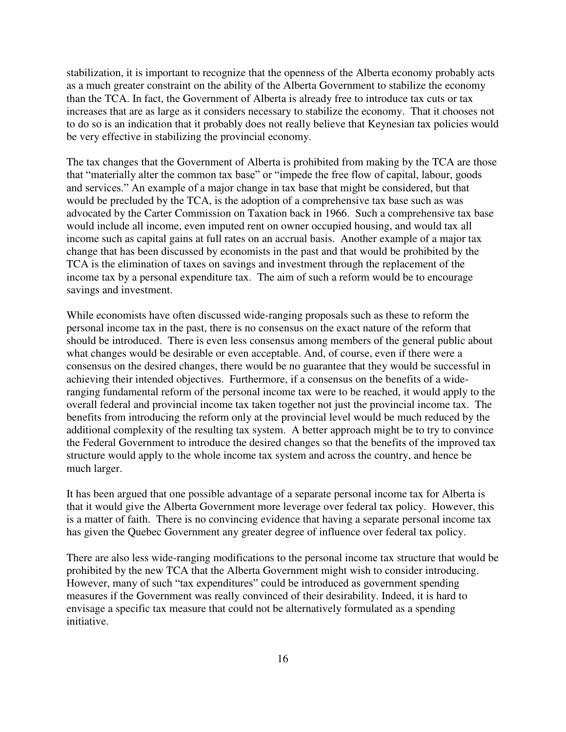stabilization, it is important to recognize that the openness of the Alberta economy probably acts as a much greater constraint on the ability of the Alberta Government to stabilize the economy than the TCA. In fact, the Government of Alberta is already free to introduce tax cuts or tax increases that are as large as it considers necessary to stabilize the economy. That it chooses not to do so is an indication that it probably does not really believe that Keynesian tax policies would be very effective in stabilizing the provincial economy.

The tax changes that the Government of Alberta is prohibited from making by the TCA are those that "materially alter the common tax base" or "impede the free flow of capital, labour, goods and services." An example of a major change in tax base that might be considered, but that would be precluded by the TCA, is the adoption of a comprehensive tax base such as was advocated by the Carter Commission on Taxation back in 1966. Such a comprehensive tax base would include all income, even imputed rent on owner occupied housing, and would tax all income such as capital gains at full rates on an accrual basis. Another example of a major tax change that has been discussed by economists in the past and that would be prohibited by the TCA is the elimination of taxes on savings and investment through the replacement of the income tax by a personal expenditure tax. The aim of such a reform would be to encourage savings and investment.

While economists have often discussed wide-ranging proposals such as these to reform the personal income tax in the past, there is no consensus on the exact nature of the reform that should be introduced. There is even less consensus among members of the general public about what changes would be desirable or even acceptable. And, of course, even if there were a consensus on the desired changes, there would be no guarantee that they would be successful in achieving their intended objectives. Furthermore, if a consensus on the benefits of a wideranging fundamental reform of the personal income tax were to be reached, it would apply to the overall federal and provincial income tax taken together not just the provincial income tax. The benefits from introducing the reform only at the provincial level would be much reduced by the additional complexity of the resulting tax system. A better approach might be to try to convince the Federal Government to introduce the desired changes so that the benefits of the improved tax structure would apply to the whole income tax system and across the country, and hence be much larger.

It has been argued that one possible advantage of a separate personal income tax for Alberta is that it would give the Alberta Government more leverage over federal tax policy. However, this is a matter of faith. There is no convincing evidence that having a separate personal income tax has given the Quebec Government any greater degree of influence over federal tax policy.

There are also less wide-ranging modifications to the personal income tax structure that would be prohibited by the new TCA that the Alberta Government might wish to consider introducing. However, many of such "tax expenditures" could be introduced as government spending measures if the Government was really convinced of their desirability. Indeed, it is hard to envisage a specific tax measure that could not be alternatively formulated as a spending initiative.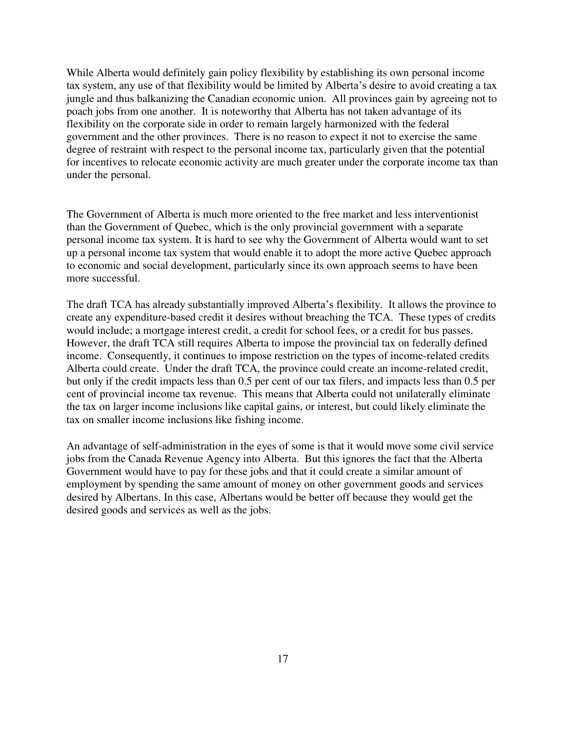While Alberta would definitely gain policy flexibility by establishing its own personal income tax system, any use of that flexibility would be limited by Alberta's desire to avoid creating a tax jungle and thus balkanizing the Canadian economic union. All provinces gain by agreeing not to poach jobs from one another. It is noteworthy that Alberta has not taken advantage of its flexibility on the corporate side in order to remain largely harmonized with the federal government and the other provinces. There is no reason to expect it not to exercise the same degree of restraint with respect to the personal income tax, particularly given that the potential for incentives to relocate economic activity are much greater under the corporate income tax than under the personal.

The Government of Alberta is much more oriented to the free market and less interventionist than the Government of Quebec, which is the only provincial government with a separate personal income tax system. It is hard to see why the Government of Alberta would want to set up a personal income tax system that would enable it to adopt the more active Quebec approach to economic and social development, particularly since its own approach seems to have been more successful.

The draft TCA has already substantially improved Alberta's flexibility. It allows the province to create any expenditure-based credit it desires without breaching the TCA. These types of credits would include; a mortgage interest credit, a credit for school fees, or a credit for bus passes. However, the draft TCA still requires Alberta to impose the provincial tax on federally defined income. Consequently, it continues to impose restriction on the types of income-related credits Alberta could create. Under the draft TCA, the province could create an income-related credit, but only if the credit impacts less than 0.5 per cent of our tax filers, and impacts less than 0.5 per cent of provincial income tax revenue. This means that Alberta could not unilaterally eliminate the tax on larger income inclusions like capital gains, or interest, but could likely eliminate the tax on smaller income inclusions like fishing income.

An advantage of self-administration in the eyes of some is that it would move some civil service jobs from the Canada Revenue Agency into Alberta. But this ignores the fact that the Alberta Government would have to pay for these jobs and that it could create a similar amount of employment by spending the same amount of money on other government goods and services desired by Albertans. In this case, Albertans would be better off because they would get the desired goods and services as well as the jobs.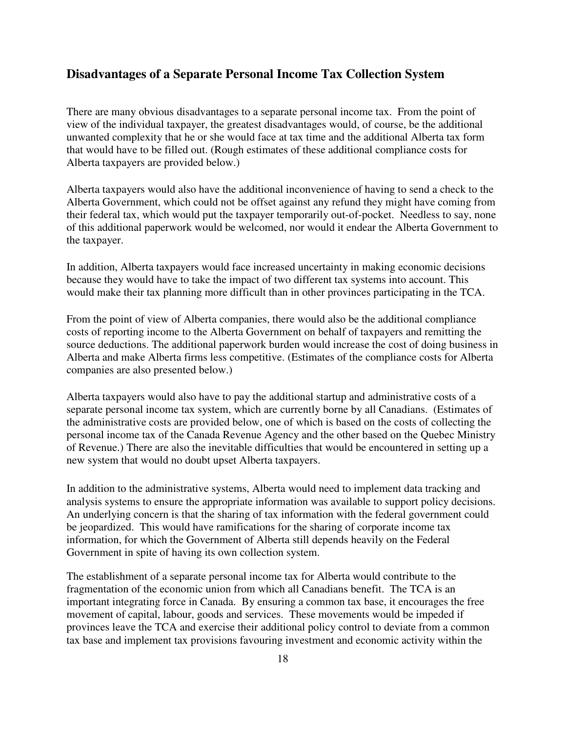### **Disadvantages of a Separate Personal Income Tax Collection System**

There are many obvious disadvantages to a separate personal income tax. From the point of view of the individual taxpayer, the greatest disadvantages would, of course, be the additional unwanted complexity that he or she would face at tax time and the additional Alberta tax form that would have to be filled out. (Rough estimates of these additional compliance costs for Alberta taxpayers are provided below.)

Alberta taxpayers would also have the additional inconvenience of having to send a check to the Alberta Government, which could not be offset against any refund they might have coming from their federal tax, which would put the taxpayer temporarily out-of-pocket. Needless to say, none of this additional paperwork would be welcomed, nor would it endear the Alberta Government to the taxpayer.

In addition, Alberta taxpayers would face increased uncertainty in making economic decisions because they would have to take the impact of two different tax systems into account. This would make their tax planning more difficult than in other provinces participating in the TCA.

From the point of view of Alberta companies, there would also be the additional compliance costs of reporting income to the Alberta Government on behalf of taxpayers and remitting the source deductions. The additional paperwork burden would increase the cost of doing business in Alberta and make Alberta firms less competitive. (Estimates of the compliance costs for Alberta companies are also presented below.)

Alberta taxpayers would also have to pay the additional startup and administrative costs of a separate personal income tax system, which are currently borne by all Canadians. (Estimates of the administrative costs are provided below, one of which is based on the costs of collecting the personal income tax of the Canada Revenue Agency and the other based on the Quebec Ministry of Revenue.) There are also the inevitable difficulties that would be encountered in setting up a new system that would no doubt upset Alberta taxpayers.

In addition to the administrative systems, Alberta would need to implement data tracking and analysis systems to ensure the appropriate information was available to support policy decisions. An underlying concern is that the sharing of tax information with the federal government could be jeopardized. This would have ramifications for the sharing of corporate income tax information, for which the Government of Alberta still depends heavily on the Federal Government in spite of having its own collection system.

The establishment of a separate personal income tax for Alberta would contribute to the fragmentation of the economic union from which all Canadians benefit. The TCA is an important integrating force in Canada. By ensuring a common tax base, it encourages the free movement of capital, labour, goods and services. These movements would be impeded if provinces leave the TCA and exercise their additional policy control to deviate from a common tax base and implement tax provisions favouring investment and economic activity within the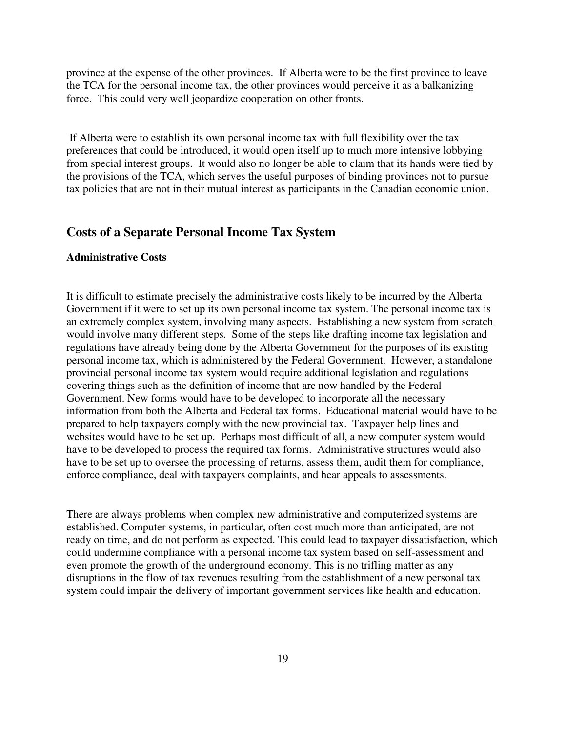province at the expense of the other provinces. If Alberta were to be the first province to leave the TCA for the personal income tax, the other provinces would perceive it as a balkanizing force. This could very well jeopardize cooperation on other fronts.

If Alberta were to establish its own personal income tax with full flexibility over the tax preferences that could be introduced, it would open itself up to much more intensive lobbying from special interest groups. It would also no longer be able to claim that its hands were tied by the provisions of the TCA, which serves the useful purposes of binding provinces not to pursue tax policies that are not in their mutual interest as participants in the Canadian economic union.

#### **Costs of a Separate Personal Income Tax System**

#### **Administrative Costs**

It is difficult to estimate precisely the administrative costs likely to be incurred by the Alberta Government if it were to set up its own personal income tax system. The personal income tax is an extremely complex system, involving many aspects. Establishing a new system from scratch would involve many different steps. Some of the steps like drafting income tax legislation and regulations have already being done by the Alberta Government for the purposes of its existing personal income tax, which is administered by the Federal Government. However, a standalone provincial personal income tax system would require additional legislation and regulations covering things such as the definition of income that are now handled by the Federal Government. New forms would have to be developed to incorporate all the necessary information from both the Alberta and Federal tax forms. Educational material would have to be prepared to help taxpayers comply with the new provincial tax. Taxpayer help lines and websites would have to be set up. Perhaps most difficult of all, a new computer system would have to be developed to process the required tax forms. Administrative structures would also have to be set up to oversee the processing of returns, assess them, audit them for compliance, enforce compliance, deal with taxpayers complaints, and hear appeals to assessments.

There are always problems when complex new administrative and computerized systems are established. Computer systems, in particular, often cost much more than anticipated, are not ready on time, and do not perform as expected. This could lead to taxpayer dissatisfaction, which could undermine compliance with a personal income tax system based on self-assessment and even promote the growth of the underground economy. This is no trifling matter as any disruptions in the flow of tax revenues resulting from the establishment of a new personal tax system could impair the delivery of important government services like health and education.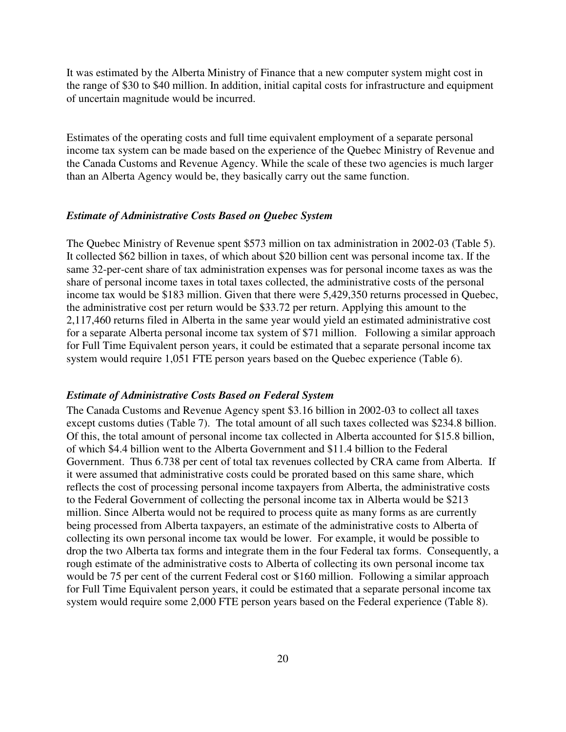It was estimated by the Alberta Ministry of Finance that a new computer system might cost in the range of \$30 to \$40 million. In addition, initial capital costs for infrastructure and equipment of uncertain magnitude would be incurred.

Estimates of the operating costs and full time equivalent employment of a separate personal income tax system can be made based on the experience of the Quebec Ministry of Revenue and the Canada Customs and Revenue Agency. While the scale of these two agencies is much larger than an Alberta Agency would be, they basically carry out the same function.

#### *Estimate of Administrative Costs Based on Quebec System*

The Quebec Ministry of Revenue spent \$573 million on tax administration in 2002-03 (Table 5). It collected \$62 billion in taxes, of which about \$20 billion cent was personal income tax. If the same 32-per-cent share of tax administration expenses was for personal income taxes as was the share of personal income taxes in total taxes collected, the administrative costs of the personal income tax would be \$183 million. Given that there were 5,429,350 returns processed in Quebec, the administrative cost per return would be \$33.72 per return. Applying this amount to the 2,117,460 returns filed in Alberta in the same year would yield an estimated administrative cost for a separate Alberta personal income tax system of \$71 million. Following a similar approach for Full Time Equivalent person years, it could be estimated that a separate personal income tax system would require 1,051 FTE person years based on the Quebec experience (Table 6).

#### *Estimate of Administrative Costs Based on Federal System*

The Canada Customs and Revenue Agency spent \$3.16 billion in 2002-03 to collect all taxes except customs duties (Table 7). The total amount of all such taxes collected was \$234.8 billion. Of this, the total amount of personal income tax collected in Alberta accounted for \$15.8 billion, of which \$4.4 billion went to the Alberta Government and \$11.4 billion to the Federal Government. Thus 6.738 per cent of total tax revenues collected by CRA came from Alberta. If it were assumed that administrative costs could be prorated based on this same share, which reflects the cost of processing personal income taxpayers from Alberta, the administrative costs to the Federal Government of collecting the personal income tax in Alberta would be \$213 million. Since Alberta would not be required to process quite as many forms as are currently being processed from Alberta taxpayers, an estimate of the administrative costs to Alberta of collecting its own personal income tax would be lower. For example, it would be possible to drop the two Alberta tax forms and integrate them in the four Federal tax forms. Consequently, a rough estimate of the administrative costs to Alberta of collecting its own personal income tax would be 75 per cent of the current Federal cost or \$160 million. Following a similar approach for Full Time Equivalent person years, it could be estimated that a separate personal income tax system would require some 2,000 FTE person years based on the Federal experience (Table 8).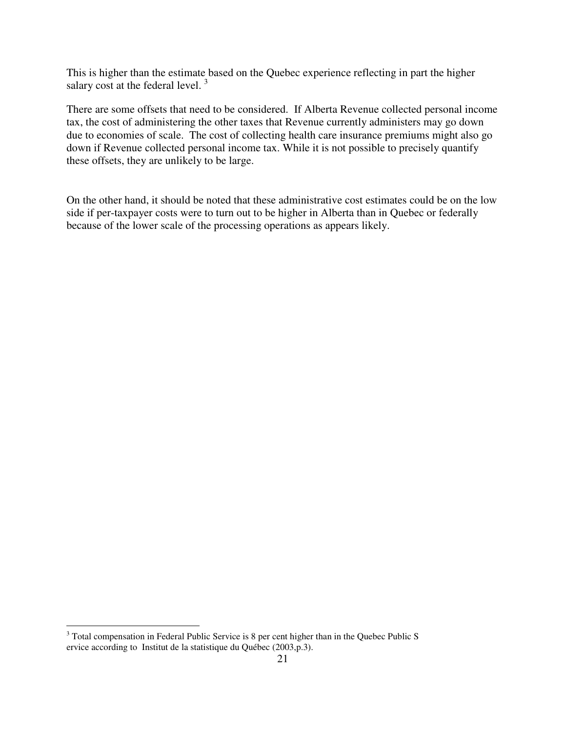This is higher than the estimate based on the Quebec experience reflecting in part the higher salary cost at the federal level.  $3$ 

There are some offsets that need to be considered. If Alberta Revenue collected personal income tax, the cost of administering the other taxes that Revenue currently administers may go down due to economies of scale. The cost of collecting health care insurance premiums might also go down if Revenue collected personal income tax. While it is not possible to precisely quantify these offsets, they are unlikely to be large.

On the other hand, it should be noted that these administrative cost estimates could be on the low side if per-taxpayer costs were to turn out to be higher in Alberta than in Quebec or federally because of the lower scale of the processing operations as appears likely.

<sup>&</sup>lt;sup>3</sup> Total compensation in Federal Public Service is 8 per cent higher than in the Quebec Public S ervice according to Institut de la statistique du Québec (2003,p.3).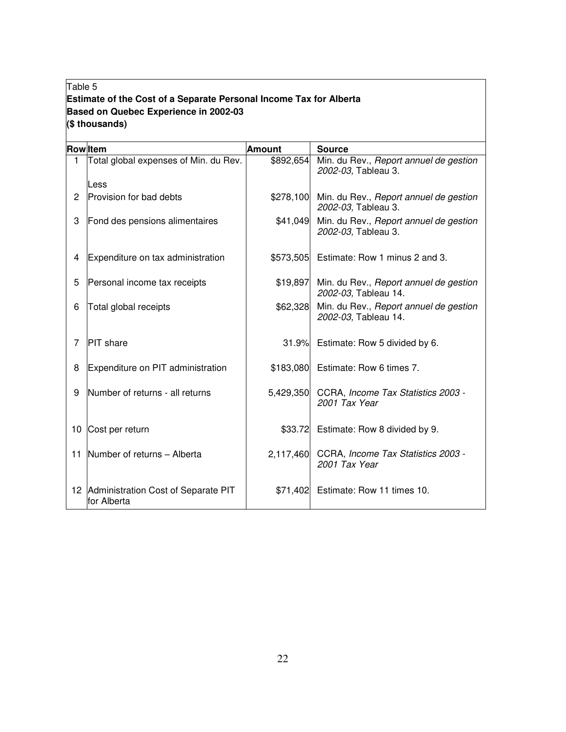## Table 5 **Estimate of the Cost of a Separate Personal Income Tax for Alberta Based on Quebec Experience in 2002-03 (\$ thousands)**

|              | <b>Row</b> Item                                    | <b>Amount</b> | <b>Source</b>                                                  |
|--------------|----------------------------------------------------|---------------|----------------------------------------------------------------|
| $\mathbf{1}$ | Total global expenses of Min. du Rev.              | \$892,654     | Min. du Rev., Report annuel de gestion<br>2002-03, Tableau 3.  |
|              | Less                                               |               |                                                                |
| 2            | <b>Provision for bad debts</b>                     | \$278,100     | Min. du Rev., Report annuel de gestion<br>2002-03, Tableau 3.  |
| 3            | Fond des pensions alimentaires                     | \$41,049      | Min. du Rev., Report annuel de gestion<br>2002-03, Tableau 3.  |
| 4            | Expenditure on tax administration                  | \$573,505     | Estimate: Row 1 minus 2 and 3.                                 |
| 5            | Personal income tax receipts                       | \$19,897      | Min. du Rev., Report annuel de gestion<br>2002-03, Tableau 14. |
| 6            | Total global receipts                              | \$62,328      | Min. du Rev., Report annuel de gestion<br>2002-03, Tableau 14. |
| 7            | <b>PIT</b> share                                   | 31.9%         | Estimate: Row 5 divided by 6.                                  |
| 8            | Expenditure on PIT administration                  | \$183,080     | Estimate: Row 6 times 7.                                       |
| 9            | Number of returns - all returns                    | 5,429,350     | CCRA, Income Tax Statistics 2003 -<br>2001 Tax Year            |
| 10           | Cost per return                                    | \$33.72       | Estimate: Row 8 divided by 9.                                  |
| 11           | Number of returns - Alberta                        | 2,117,460     | CCRA, Income Tax Statistics 2003 -<br>2001 Tax Year            |
| 12           | Administration Cost of Separate PIT<br>for Alberta | \$71,402      | Estimate: Row 11 times 10.                                     |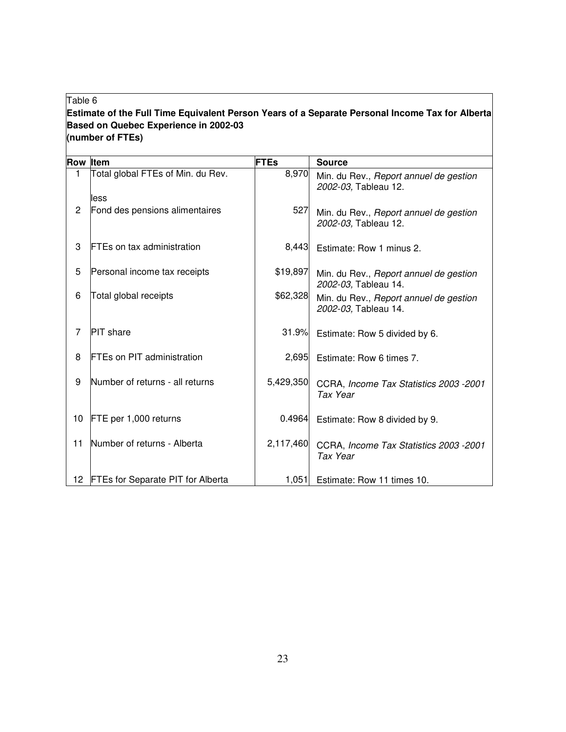#### Table 6

### **Estimate of the Full Time Equivalent Person Years of a Separate Personal Income Tax for Alberta Based on Quebec Experience in 2002-03 (number of FTEs)**

| <b>Row Item</b> |                                          | <b>FTEs</b> | <b>Source</b>                                                  |
|-----------------|------------------------------------------|-------------|----------------------------------------------------------------|
| 1               | Total global FTEs of Min. du Rev.        | 8,970       | Min. du Rev., Report annuel de gestion<br>2002-03, Tableau 12. |
|                 | lless                                    |             |                                                                |
| $\overline{2}$  | Fond des pensions alimentaires           | 527         | Min. du Rev., Report annuel de gestion<br>2002-03, Tableau 12. |
| 3               | <b>FTEs on tax administration</b>        | 8,443       | Estimate: Row 1 minus 2.                                       |
| 5               | Personal income tax receipts             | \$19,897    | Min. du Rev., Report annuel de gestion<br>2002-03, Tableau 14. |
| 6               | Total global receipts                    | \$62,328    | Min. du Rev., Report annuel de gestion<br>2002-03, Tableau 14. |
| 7               | <b>PIT</b> share                         | 31.9%       | Estimate: Row 5 divided by 6.                                  |
| 8               | <b>FTEs on PIT administration</b>        | 2,695       | Estimate: Row 6 times 7.                                       |
| 9               | Number of returns - all returns          | 5,429,350   | CCRA, Income Tax Statistics 2003 - 2001<br>Tax Year            |
| 10              | FTE per 1,000 returns                    | 0.4964      | Estimate: Row 8 divided by 9.                                  |
| 11              | Number of returns - Alberta              | 2,117,460   | CCRA, Income Tax Statistics 2003 - 2001<br>Tax Year            |
| 12.             | <b>FTEs for Separate PIT for Alberta</b> | 1,051       | Estimate: Row 11 times 10.                                     |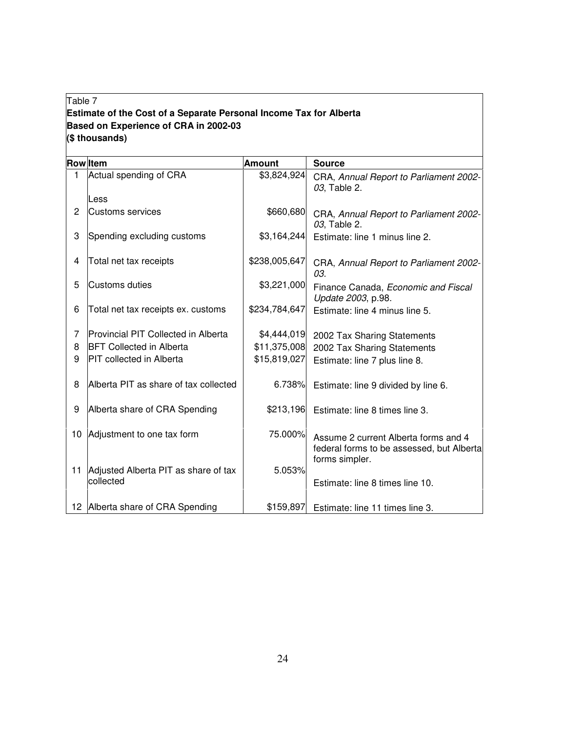## Table 7 **Estimate of the Cost of a Separate Personal Income Tax for Alberta Based on Experience of CRA in 2002-03 (\$ thousands)**

|    | <b>Row</b> Item                                   | <b>Amount</b> | <b>Source</b>                                                                     |
|----|---------------------------------------------------|---------------|-----------------------------------------------------------------------------------|
|    | Actual spending of CRA                            | \$3,824,924   | CRA, Annual Report to Parliament 2002-<br>03, Table 2.                            |
|    | Less                                              |               |                                                                                   |
| 2  | Customs services                                  | \$660,680     | CRA, Annual Report to Parliament 2002-<br>03, Table 2.                            |
| 3  | Spending excluding customs                        | \$3,164,244   | Estimate: line 1 minus line 2.                                                    |
| 4  | Total net tax receipts                            | \$238,005,647 | CRA, Annual Report to Parliament 2002-<br>03.                                     |
| 5  | Customs duties                                    | \$3,221,000   | Finance Canada, Economic and Fiscal<br>Update 2003, p.98.                         |
| 6  | Total net tax receipts ex. customs                | \$234,784,647 | Estimate: line 4 minus line 5.                                                    |
| 7  | Provincial PIT Collected in Alberta               | \$4,444,019   | 2002 Tax Sharing Statements                                                       |
| 8  | <b>BFT Collected in Alberta</b>                   | \$11,375,008  | 2002 Tax Sharing Statements                                                       |
| 9  | <b>PIT</b> collected in Alberta                   | \$15,819,027  | Estimate: line 7 plus line 8.                                                     |
| 8  | Alberta PIT as share of tax collected             | 6.738%        | Estimate: line 9 divided by line 6.                                               |
| 9  | Alberta share of CRA Spending                     | \$213,196     | Estimate: line 8 times line 3.                                                    |
| 10 | Adjustment to one tax form                        | 75.000%       | Assume 2 current Alberta forms and 4<br>federal forms to be assessed, but Alberta |
|    |                                                   |               | forms simpler.                                                                    |
| 11 | Adjusted Alberta PIT as share of tax<br>collected | 5.053%        | Estimate: line 8 times line 10.                                                   |
|    | 12 Alberta share of CRA Spending                  | \$159,897     | Estimate: line 11 times line 3.                                                   |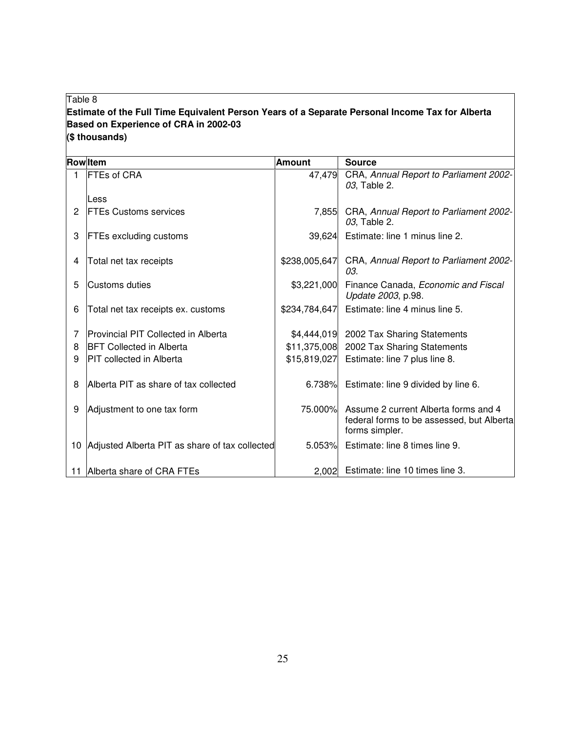## Table 8

## **Estimate of the Full Time Equivalent Person Years of a Separate Personal Income Tax for Alberta Based on Experience of CRA in 2002-03 (\$ thousands)**

|                | <b>Rowltem</b>                                    | <b>Amount</b> | <b>Source</b>                                                                                               |
|----------------|---------------------------------------------------|---------------|-------------------------------------------------------------------------------------------------------------|
| $\mathbf{1}$   | <b>FTEs of CRA</b>                                | 47,479        | CRA, Annual Report to Parliament 2002-<br>03, Table 2.                                                      |
|                | Less                                              |               |                                                                                                             |
| $\overline{2}$ | <b>FTEs Customs services</b>                      | 7,855         | CRA, Annual Report to Parliament 2002-<br>03, Table 2.                                                      |
| 3              | <b>FTEs excluding customs</b>                     | 39.624        | Estimate: line 1 minus line 2.                                                                              |
| 4              | Total net tax receipts                            | \$238,005,647 | CRA, Annual Report to Parliament 2002-<br>03.                                                               |
| 5              | Customs duties                                    |               | \$3,221,000 Finance Canada, <i>Economic and Fiscal</i><br>Update 2003, p.98.                                |
| 6              | Total net tax receipts ex. customs                |               | \$234,784,647 Estimate: line 4 minus line 5.                                                                |
| 7              | Provincial PIT Collected in Alberta               |               | \$4,444,019 2002 Tax Sharing Statements                                                                     |
| 8              | <b>BFT Collected in Alberta</b>                   |               | \$11,375,008 2002 Tax Sharing Statements                                                                    |
| 9              | <b>PIT</b> collected in Alberta                   |               | $$15,819,027$ Estimate: line 7 plus line 8.                                                                 |
| 8              | Alberta PIT as share of tax collected             |               | 6.738% Estimate: line 9 divided by line 6.                                                                  |
| 9              | Adjustment to one tax form                        |               | 75.000% Assume 2 current Alberta forms and 4<br>federal forms to be assessed, but Alberta<br>forms simpler. |
|                | 10 Adjusted Alberta PIT as share of tax collected |               | 5.053% Estimate: line 8 times line 9.                                                                       |
|                | 11 Alberta share of CRA FTEs                      |               | 2,002 Estimate: line 10 times line 3.                                                                       |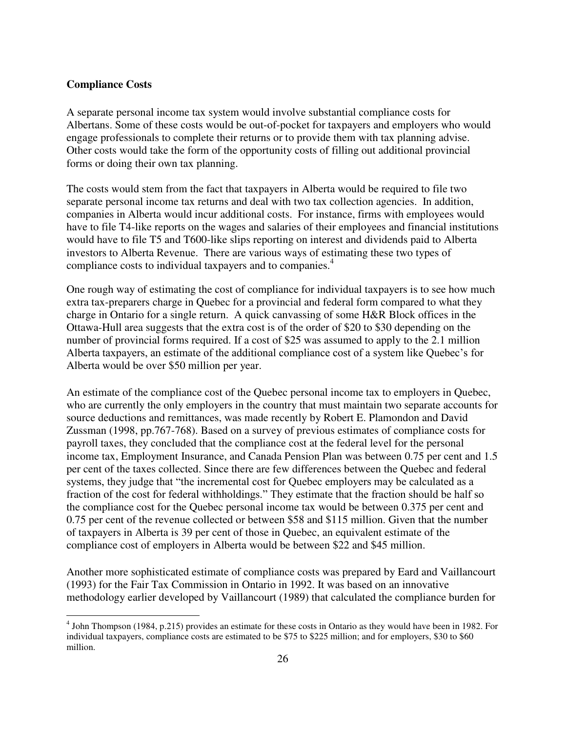#### **Compliance Costs**

A separate personal income tax system would involve substantial compliance costs for Albertans. Some of these costs would be out-of-pocket for taxpayers and employers who would engage professionals to complete their returns or to provide them with tax planning advise. Other costs would take the form of the opportunity costs of filling out additional provincial forms or doing their own tax planning.

The costs would stem from the fact that taxpayers in Alberta would be required to file two separate personal income tax returns and deal with two tax collection agencies. In addition, companies in Alberta would incur additional costs. For instance, firms with employees would have to file T4-like reports on the wages and salaries of their employees and financial institutions would have to file T5 and T600-like slips reporting on interest and dividends paid to Alberta investors to Alberta Revenue. There are various ways of estimating these two types of compliance costs to individual taxpayers and to companies.<sup>4</sup>

One rough way of estimating the cost of compliance for individual taxpayers is to see how much extra tax-preparers charge in Quebec for a provincial and federal form compared to what they charge in Ontario for a single return. A quick canvassing of some H&R Block offices in the Ottawa-Hull area suggests that the extra cost is of the order of \$20 to \$30 depending on the number of provincial forms required. If a cost of \$25 was assumed to apply to the 2.1 million Alberta taxpayers, an estimate of the additional compliance cost of a system like Quebec's for Alberta would be over \$50 million per year.

An estimate of the compliance cost of the Quebec personal income tax to employers in Quebec, who are currently the only employers in the country that must maintain two separate accounts for source deductions and remittances, was made recently by Robert E. Plamondon and David Zussman (1998, pp.767-768). Based on a survey of previous estimates of compliance costs for payroll taxes, they concluded that the compliance cost at the federal level for the personal income tax, Employment Insurance, and Canada Pension Plan was between 0.75 per cent and 1.5 per cent of the taxes collected. Since there are few differences between the Quebec and federal systems, they judge that "the incremental cost for Quebec employers may be calculated as a fraction of the cost for federal withholdings." They estimate that the fraction should be half so the compliance cost for the Quebec personal income tax would be between 0.375 per cent and 0.75 per cent of the revenue collected or between \$58 and \$115 million. Given that the number of taxpayers in Alberta is 39 per cent of those in Quebec, an equivalent estimate of the compliance cost of employers in Alberta would be between \$22 and \$45 million.

Another more sophisticated estimate of compliance costs was prepared by Eard and Vaillancourt (1993) for the Fair Tax Commission in Ontario in 1992. It was based on an innovative methodology earlier developed by Vaillancourt (1989) that calculated the compliance burden for

<sup>&</sup>lt;sup>4</sup> John Thompson (1984, p.215) provides an estimate for these costs in Ontario as they would have been in 1982. For individual taxpayers, compliance costs are estimated to be \$75 to \$225 million; and for employers, \$30 to \$60 million.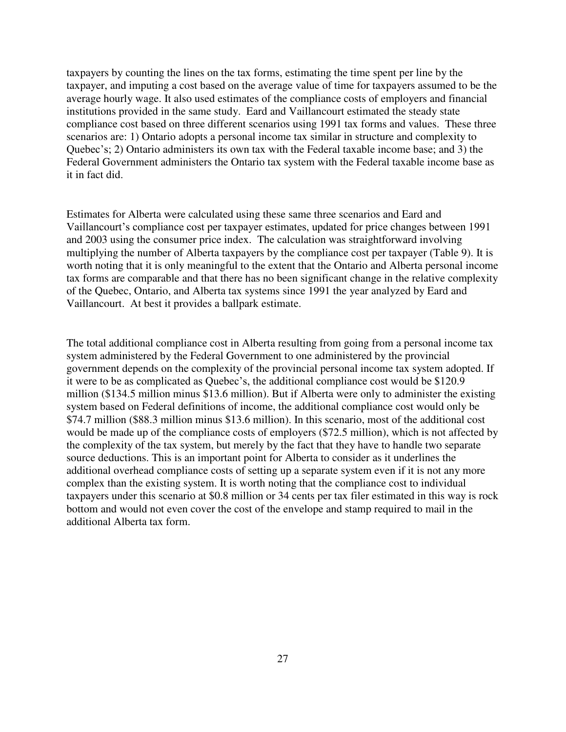taxpayers by counting the lines on the tax forms, estimating the time spent per line by the taxpayer, and imputing a cost based on the average value of time for taxpayers assumed to be the average hourly wage. It also used estimates of the compliance costs of employers and financial institutions provided in the same study. Eard and Vaillancourt estimated the steady state compliance cost based on three different scenarios using 1991 tax forms and values. These three scenarios are: 1) Ontario adopts a personal income tax similar in structure and complexity to Quebec's; 2) Ontario administers its own tax with the Federal taxable income base; and 3) the Federal Government administers the Ontario tax system with the Federal taxable income base as it in fact did.

Estimates for Alberta were calculated using these same three scenarios and Eard and Vaillancourt's compliance cost per taxpayer estimates, updated for price changes between 1991 and 2003 using the consumer price index. The calculation was straightforward involving multiplying the number of Alberta taxpayers by the compliance cost per taxpayer (Table 9). It is worth noting that it is only meaningful to the extent that the Ontario and Alberta personal income tax forms are comparable and that there has no been significant change in the relative complexity of the Quebec, Ontario, and Alberta tax systems since 1991 the year analyzed by Eard and Vaillancourt. At best it provides a ballpark estimate.

The total additional compliance cost in Alberta resulting from going from a personal income tax system administered by the Federal Government to one administered by the provincial government depends on the complexity of the provincial personal income tax system adopted. If it were to be as complicated as Quebec's, the additional compliance cost would be \$120.9 million (\$134.5 million minus \$13.6 million). But if Alberta were only to administer the existing system based on Federal definitions of income, the additional compliance cost would only be \$74.7 million (\$88.3 million minus \$13.6 million). In this scenario, most of the additional cost would be made up of the compliance costs of employers (\$72.5 million), which is not affected by the complexity of the tax system, but merely by the fact that they have to handle two separate source deductions. This is an important point for Alberta to consider as it underlines the additional overhead compliance costs of setting up a separate system even if it is not any more complex than the existing system. It is worth noting that the compliance cost to individual taxpayers under this scenario at \$0.8 million or 34 cents per tax filer estimated in this way is rock bottom and would not even cover the cost of the envelope and stamp required to mail in the additional Alberta tax form.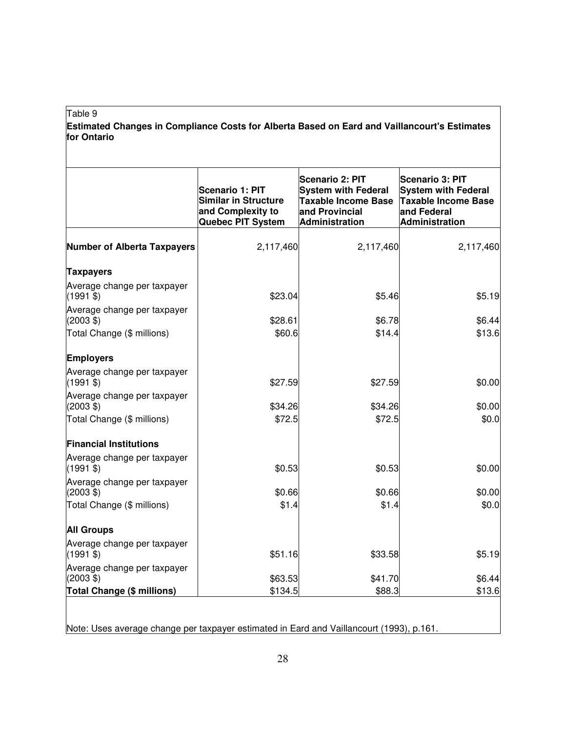#### Table 9

**Estimated Changes in Compliance Costs for Alberta Based on Eard and Vaillancourt's Estimates for Ontario**

|                                                    | <b>Scenario 1: PIT</b><br><b>Similar in Structure</b><br>and Complexity to<br>Quebec PIT System | <b>Scenario 2: PIT</b><br><b>System with Federal</b><br><b>Taxable Income Base</b><br>and Provincial<br><b>Administration</b> | <b>Scenario 3: PIT</b><br><b>System with Federal</b><br>Taxable Income Base<br>and Federal<br><b>Administration</b> |
|----------------------------------------------------|-------------------------------------------------------------------------------------------------|-------------------------------------------------------------------------------------------------------------------------------|---------------------------------------------------------------------------------------------------------------------|
| <b>Number of Alberta Taxpayers</b>                 | 2,117,460                                                                                       | 2,117,460                                                                                                                     | 2,117,460                                                                                                           |
| <b>Taxpayers</b>                                   |                                                                                                 |                                                                                                                               |                                                                                                                     |
| Average change per taxpayer<br>$(1991$ \$)         | \$23.04                                                                                         | \$5.46                                                                                                                        | \$5.19                                                                                                              |
| Average change per taxpayer<br>$(2003 \text{ } $)$ | \$28.61                                                                                         | \$6.78                                                                                                                        | \$6.44                                                                                                              |
| Total Change (\$ millions)                         | \$60.6                                                                                          | \$14.4                                                                                                                        | \$13.6                                                                                                              |
| <b>Employers</b>                                   |                                                                                                 |                                                                                                                               |                                                                                                                     |
| Average change per taxpayer<br>$(1991$ \$)         | \$27.59                                                                                         | \$27.59                                                                                                                       | \$0.00                                                                                                              |
| Average change per taxpayer<br>$(2003 \text{ } $)$ | \$34.26                                                                                         | \$34.26                                                                                                                       | \$0.00                                                                                                              |
| Total Change (\$ millions)                         | \$72.5                                                                                          | \$72.5                                                                                                                        | \$0.0                                                                                                               |
| <b>Financial Institutions</b>                      |                                                                                                 |                                                                                                                               |                                                                                                                     |
| Average change per taxpayer<br>$(1991$ \$)         | \$0.53                                                                                          | \$0.53                                                                                                                        | \$0.00                                                                                                              |
| Average change per taxpayer<br>$(2003 \text{ } $)$ | \$0.66                                                                                          | \$0.66                                                                                                                        | \$0.00                                                                                                              |
| Total Change (\$ millions)                         | \$1.4                                                                                           | \$1.4                                                                                                                         | \$0.0                                                                                                               |
| <b>All Groups</b>                                  |                                                                                                 |                                                                                                                               |                                                                                                                     |
| Average change per taxpayer<br>$(1991$ \$)         | \$51.16                                                                                         | \$33.58                                                                                                                       | \$5.19                                                                                                              |
| Average change per taxpayer<br>$(2003 \text{ } $)$ | \$63.53                                                                                         | \$41.70                                                                                                                       | \$6.44                                                                                                              |
| <b>Total Change (\$ millions)</b>                  | \$134.5                                                                                         | \$88.3                                                                                                                        | \$13.6                                                                                                              |

Note: Uses average change per taxpayer estimated in Eard and Vaillancourt (1993), p.161.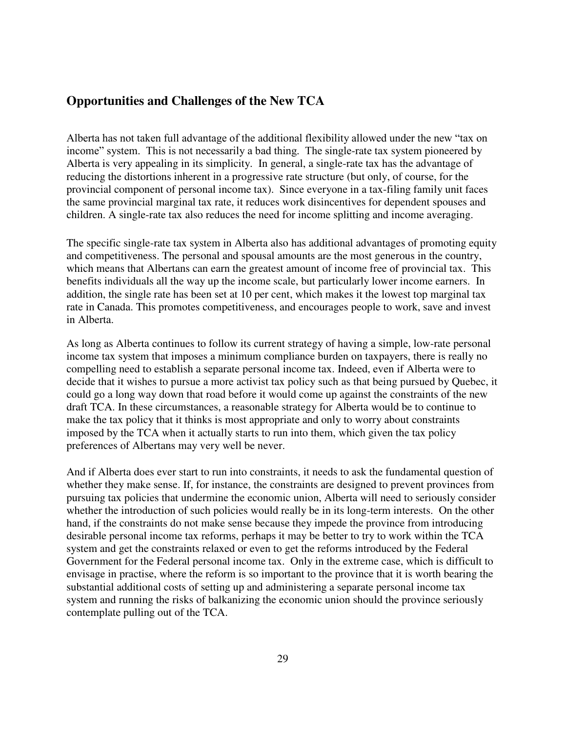## **Opportunities and Challenges of the New TCA**

Alberta has not taken full advantage of the additional flexibility allowed under the new "tax on income" system. This is not necessarily a bad thing. The single-rate tax system pioneered by Alberta is very appealing in its simplicity. In general, a single-rate tax has the advantage of reducing the distortions inherent in a progressive rate structure (but only, of course, for the provincial component of personal income tax). Since everyone in a tax-filing family unit faces the same provincial marginal tax rate, it reduces work disincentives for dependent spouses and children. A single-rate tax also reduces the need for income splitting and income averaging.

The specific single-rate tax system in Alberta also has additional advantages of promoting equity and competitiveness. The personal and spousal amounts are the most generous in the country, which means that Albertans can earn the greatest amount of income free of provincial tax. This benefits individuals all the way up the income scale, but particularly lower income earners. In addition, the single rate has been set at 10 per cent, which makes it the lowest top marginal tax rate in Canada. This promotes competitiveness, and encourages people to work, save and invest in Alberta.

As long as Alberta continues to follow its current strategy of having a simple, low-rate personal income tax system that imposes a minimum compliance burden on taxpayers, there is really no compelling need to establish a separate personal income tax. Indeed, even if Alberta were to decide that it wishes to pursue a more activist tax policy such as that being pursued by Quebec, it could go a long way down that road before it would come up against the constraints of the new draft TCA. In these circumstances, a reasonable strategy for Alberta would be to continue to make the tax policy that it thinks is most appropriate and only to worry about constraints imposed by the TCA when it actually starts to run into them, which given the tax policy preferences of Albertans may very well be never.

And if Alberta does ever start to run into constraints, it needs to ask the fundamental question of whether they make sense. If, for instance, the constraints are designed to prevent provinces from pursuing tax policies that undermine the economic union, Alberta will need to seriously consider whether the introduction of such policies would really be in its long-term interests. On the other hand, if the constraints do not make sense because they impede the province from introducing desirable personal income tax reforms, perhaps it may be better to try to work within the TCA system and get the constraints relaxed or even to get the reforms introduced by the Federal Government for the Federal personal income tax. Only in the extreme case, which is difficult to envisage in practise, where the reform is so important to the province that it is worth bearing the substantial additional costs of setting up and administering a separate personal income tax system and running the risks of balkanizing the economic union should the province seriously contemplate pulling out of the TCA.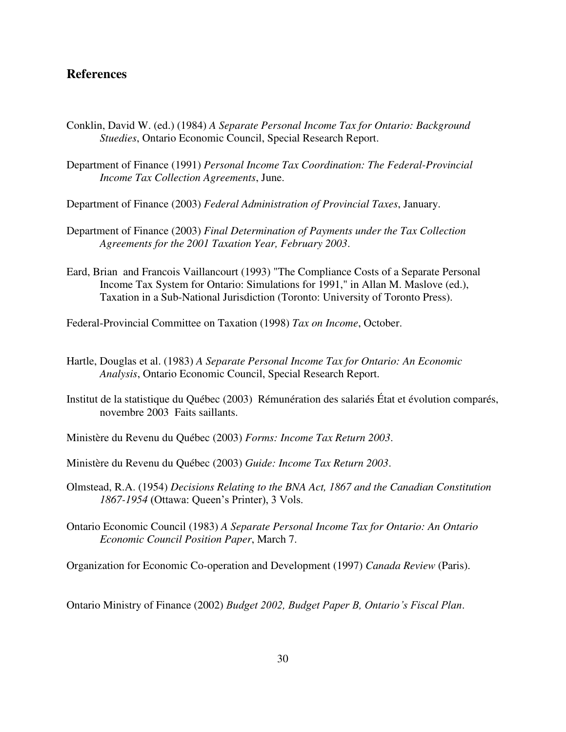## **References**

- Conklin, David W. (ed.) (1984) *A Separate Personal Income Tax for Ontario: Background Stuedies*, Ontario Economic Council, Special Research Report.
- Department of Finance (1991) *Personal Income Tax Coordination: The Federal-Provincial Income Tax Collection Agreements*, June.
- Department of Finance (2003) *Federal Administration of Provincial Taxes*, January.
- Department of Finance (2003) *Final Determination of Payments under the Tax Collection Agreements for the 2001 Taxation Year, February 2003*.
- Eard, Brian and Francois Vaillancourt (1993) "The Compliance Costs of a Separate Personal Income Tax System for Ontario: Simulations for 1991," in Allan M. Maslove (ed.), Taxation in a Sub-National Jurisdiction (Toronto: University of Toronto Press).
- Federal-Provincial Committee on Taxation (1998) *Tax on Income*, October.
- Hartle, Douglas et al. (1983) *A Separate Personal Income Tax for Ontario: An Economic Analysis*, Ontario Economic Council, Special Research Report.
- Institut de la statistique du Québec (2003) Rémunération des salariés État et évolution comparés, novembre 2003 Faits saillants.
- Ministère du Revenu du Québec (2003) *Forms: Income Tax Return 2003*.
- Ministère du Revenu du Québec (2003) *Guide: Income Tax Return 2003*.
- Olmstead, R.A. (1954) *Decisions Relating to the BNA Act, 1867 and the Canadian Constitution 1867-1954* (Ottawa: Queen's Printer), 3 Vols.
- Ontario Economic Council (1983) *A Separate Personal Income Tax for Ontario: An Ontario Economic Council Position Paper*, March 7.

Organization for Economic Co-operation and Development (1997) *Canada Review* (Paris).

Ontario Ministry of Finance (2002) *Budget 2002, Budget Paper B, Ontario's Fiscal Plan*.